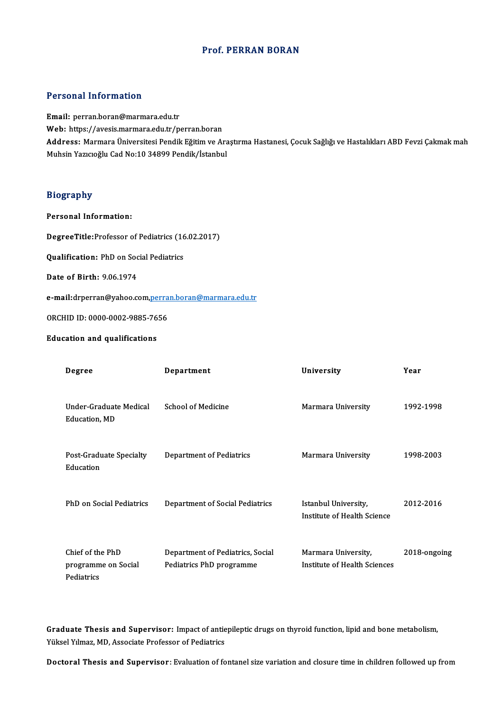### Prof. PERRAN BORAN

#### Personal Information

Email: perran.boran@marmara.edu.tr r oroonar mior macron<br>Email: perran.boran@marmara.edu.tr<br>Web: https://avesis.marmara.edu.tr/perran.boran<br>Address. Marmara Universitesi Bendik Eğitim ve Ar Address: Marmara Üniversitesi Pendik Eğitim ve Araştırma Hastanesi, Çocuk Sağlığı ve Hastalıkları ABD Fevzi Çakmak mah<br>Muhsin Yazıcıoğlu Cad No:10 34899 Pendik/İstanbul Web: https://avesis.marmara.edu.tr/perran.boran<br><mark>Address:</mark> Marmara Üniversitesi Pendik Eğitim ve Ara<br>Muhsin Yazıcıoğlu Cad No:10 34899 Pendik/İstanbul

#### Biography

Personal Information:

Personal Information:<br>DegreeTitle:Professor of Pediatrics (16.02.2017) DegreeTitle:Professor of Pediatrics (16<br>Qualification: PhD on Social Pediatrics

Qualification: PhD on Social Pediatrics<br>Date of Birth: 9.06.1974

Date of Birth: 9.06.1974<br>e-<mark>mail</mark>:drperran@yahoo.com<u>,[perran.boran@marmara.edu.tr](mailto:perran.boran@marmara.edu.tr)</u> e-<mark>mail</mark>:drperran@yahoo.com,<u>perra</u><br>ORCHID ID: 0000-0002-9885-7656

ORCHID ID: 0000-0002-9885-7656<br>Education and qualifications

| cauvii ailu yuaillicauviis                            |                                                              |                                                     |              |
|-------------------------------------------------------|--------------------------------------------------------------|-----------------------------------------------------|--------------|
| Degree                                                | Department                                                   | University                                          | Year         |
| Under-Graduate Medical<br>Education, MD               | <b>School of Medicine</b>                                    | Marmara University                                  | 1992-1998    |
| Post-Graduate Specialty<br>Education                  | <b>Department of Pediatrics</b>                              | Marmara University                                  | 1998-2003    |
| PhD on Social Pediatrics                              | <b>Department of Social Pediatrics</b>                       | Istanbul University,<br>Institute of Health Science | 2012-2016    |
| Chief of the PhD<br>programme on Social<br>Pediatrics | Department of Pediatrics, Social<br>Pediatrics PhD programme | Marmara University,<br>Institute of Health Sciences | 2018-ongoing |

Graduate Thesis and Supervisor: Impact of antiepileptic drugs on thyroid function, lipid and bone metabolism,<br>Viltrel Vilmez MD, Associate Prefessor of Podiatrics Graduate Thesis and Supervisor: Impact of antie<br>Yüksel Yılmaz, MD, Associate Professor of Pediatrics Yüksel Yılmaz, MD, Associate Professor of Pediatrics<br>Doctoral Thesis and Supervisor: Evaluation of fontanel size variation and closure time in children followed up from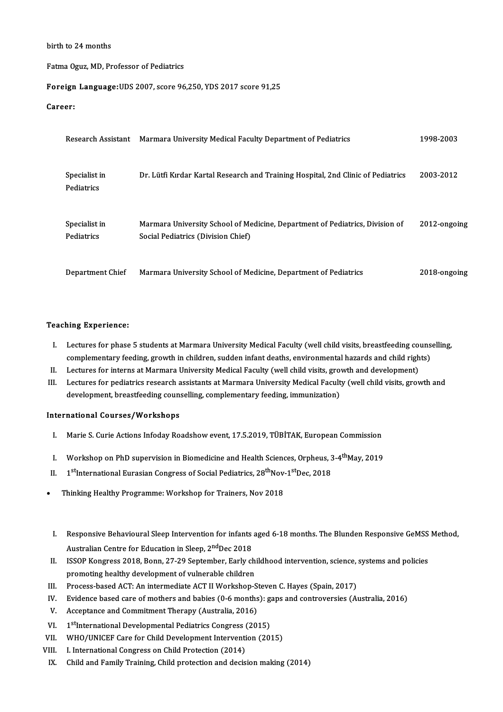#### birth to 24months

#### Fatma Oguz, MD, Professor of Pediatrics

# Fatma Oguz, MD, Professor of Pediatrics<br>**Foreign Language:**UDS 2007, score 96,250, YDS 2017 score 91,25 Foreign<br>Career:

| .с. .                       |                                                                                                                    |                |
|-----------------------------|--------------------------------------------------------------------------------------------------------------------|----------------|
| Research Assistant          | Marmara University Medical Faculty Department of Pediatrics                                                        | 1998-2003      |
| Specialist in<br>Pediatrics | Dr. Lütfi Kırdar Kartal Research and Training Hospital, 2nd Clinic of Pediatrics                                   | 2003 2012      |
| Specialist in<br>Pediatrics | Marmara University School of Medicine, Department of Pediatrics, Division of<br>Social Pediatrics (Division Chief) | $2012$ ongoing |
| Department Chief            | Marmara University School of Medicine, Department of Pediatrics                                                    | 2018-ongoing   |

#### Teaching Experience:

- eaching Experience:<br>I. Lectures for phase 5 students at Marmara University Medical Faculty (well child visits, breastfeeding counselling,<br>complementary feeding, grouth in children, audden infant deaths, environmental b ring Experience.<br>Lectures for phase 5 students at Marmara University Medical Faculty (well child visits, breastfeeding couns<br>Complementary feeding, growth in children, sudden infant deaths, environmental hazards and child I. Lectures for phase 5 students at Marmara University Medical Faculty (well child visits, breastfeeding complementary feeding, growth in children, sudden infant deaths, environmental hazards and child rights.<br>II. Lectures
- 
- II. Lectures for interns at Marmara University Medical Faculty (well child visits, growth and development)<br>II. Lectures for interns at Marmara University Medical Faculty (well child visits, growth and development)<br>III. Lec development, breastfeeding counselling, complementary feeding, immunization)

#### International Courses/Workshops

- I. Marie S. Curie Actions Infoday Roadshow event, 17.5.2019, TÜBİTAK, European Commission
- I. Marie S. Curie Actions Infoday Roadshow event, 17.5.2019, TÜBİTAK, European Commission<br>I. Workshop on PhD supervision in Biomedicine and Health Sciences, Orpheus, 3-4<sup>th</sup>May, 2019 I. Workshop on PhD supervision in Biomedicine and Health Sciences, Orpheus, 3<br>II. 1<sup>st</sup>International Eurasian Congress of Social Pediatrics, 28<sup>th</sup>Nov-1<sup>st</sup>Dec, 2018
- II. 1<sup>st</sup>International Eurasian Congress of Social Pediatrics, 28<sup>th</sup>Nov-1<sup>st</sup>Dec, 2018<br>Thinking Healthy Programme: Workshop for Trainers, Nov 2018
- 
- I. Responsive Behavioural Sleep Intervention for infants aged 6-18 months. The Blunden Responsive GeMSS Method, Responsive Behavioural Sleep Intervention for infants<br>Australian Centre for Education in Sleep, 2<sup>nd</sup>Dec 2018<br>ISSOR Kengrees 2019, Bonn. 27, 20 Sentember, Farkuck I. Responsive Behavioural Sleep Intervention for infants aged 6-18 months. The Blunden Responsive GeMSS<br>Australian Centre for Education in Sleep, 2<sup>nd</sup>Dec 2018<br>II. ISSOP Kongress 2018, Bonn, 27-29 September, Early childhoo
- Australian Centre for Education in Sleep, 2<sup>nd</sup>Dec 2018<br>ISSOP Kongress 2018, Bonn, 27-29 September, Early chi<br>promoting healthy development of vulnerable children<br>Prosess based ACT: An intermediate ACT U Workshop S II. ISSOP Kongress 2018, Bonn, 27-29 September, Early childhood intervention, science,<br>promoting healthy development of vulnerable children<br>III. Process-based ACT: An intermediate ACT II Workshop-Steven C. Hayes (Spain, 20 promoting healthy development of vulnerable children<br>III. Process-based ACT: An intermediate ACT II Workshop-Steven C. Hayes (Spain, 2017)<br>IV. Evidence based care of mothers and babies (0-6 months): gaps and controversies
- V. Process-based ACT: An intermediate ACT II Workshop-S<br>V. Evidence based care of mothers and babies (0-6 months<br>V. Acceptance and Commitment Therapy (Australia, 2016)
- 
- 
- IV. Ev.<br>
V. Ac<br>
VI. 1<sup>s</sup><br>
VI. W. vidence based care of mothers and babies (0-6 months): g<br>cceptance and Commitment Therapy (Australia, 2016)<br><sup>st</sup>International Developmental Pediatrics Congress (2015)<br><sup>NHO (INICEE Care for Child Development Intervantion (2</sup>
- V. Acceptance and Commitment Therapy (Australia, 2016)<br>VI. 1<sup>st</sup>International Developmental Pediatrics Congress (2015)<br>VII. WHO/UNICEF Care for Child Development Intervention (2015)<br>VIII. I. International Congress on Child VI. 1<sup>st</sup>International Developmental Pediatrics Congress (2015)<br>VII. WHO/UNICEF Care for Child Development Intervention (20<br>1II. 1. International Congress on Child Protection (2014)<br>IX. Child and Family Training. Child pro
- 
- Child and Family Training, Child protection and decision making (2014)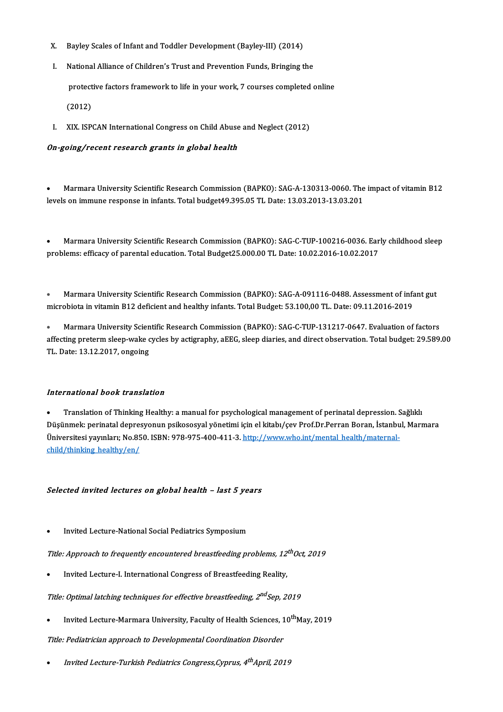- .<br>X. Bayley Scales of Infant and Toddler Development (Bayley-III) (2014)
- K. Bayley Scales of Infant and Toddler Development (Bayley-III) (2014)<br>I. National Alliance of Children's Trust and Prevention Funds, Bringing the National Alliance of Children's Trust and Prevention Funds, Bringing the<br>protective factors framework to life in your work, 7 courses completed online protect<br>(2012)
- (2012)<br>I. XIX. ISPCAN International Congress on Child Abuse and Neglect (2012)

#### On-going/recent research grants in global health

Marmara University Scientific Research Commission (BAPKO): SAG-A-130313-0060. The impact of vitamin B12 levels on immune response in infants. Total budget49.395.05 TL Date: 13.03.2013-13.03.201

Marmara University Scientific Research Commission (BAPKO): SAG-C-TUP-100216-0036. Early childhood sleep problems: efficacy of parental education. Total Budget25.000.00 TL Date: 10.02.2016-10.02.2017

• Marmara University Scientific Research Commission (BAPKO): SAG-A-091116-0488. Assessment of infant gut microbiota invitaminB12 deficientand healthy infants.TotalBudget:53.100,00TL.Date:09.11.2016-2019

Marmara University Scientific Research Commission (BAPKO): SAG-C-TUP-131217-0647. Evaluation of factors af ection of a final methods in vital methods. It was actively the part of the part of the part of the Marmara University Scientific Research Commission (BAPKO): SAG-C-TUP-131217-0647. Evaluation of factors affecting prete **• Marmara University Scien<br>affecting preterm sleep-wake c<br>TL. Date: 13.12.2017, ongoing** 

#### International book translation

Translation of Thinking Healthy: a manual for psychological management of perinatal depression. Sağlıklı Düşünmek: perinatal depresyonun psikososyal yönetimi için el kitabı/çev Prof.Dr.Perran Boran, İstanbul, Marmara • Translation of Thinking Healthy: a manual for psychological management of perinatal depression. !<br>Düşünmek: perinatal depresyonun psikososyal yönetimi için el kitabı/çev Prof.Dr.Perran Boran, İstanbu<br>Üniversitesi yayınla Düşünmek: perinatal depre:<br>Üniversitesi yayınları; No.85<br><u>child/thinking\_healthy/en/</u>

#### Selected invited lectures on global health – last 5 years

Invited Lecture-National Social Pediatrics Symposium

Title: Approach to frequently encountered breastfeeding problems, 12<sup>th</sup>Oct, 2019<br>• Invited Lecture-I. International Congress of Breastfeeding Reality,

Title: Optimal latching techniques for effective breastfeeding, 2<sup>nd</sup>Sep, 2019<br>• Invited Lecture-Marmara University, Faculty of Health Sciences, 10<sup>th</sup>M Invited Lecture-Marmara University, Faculty of Health Sciences, 10<sup>th</sup>May, 2019

Title: Pediatrician approach to Developmental Coordination Disorder

• Invited Lecture-Turkish Pediatrics Congress,Cyprus, 4<sup>th</sup>April, 2019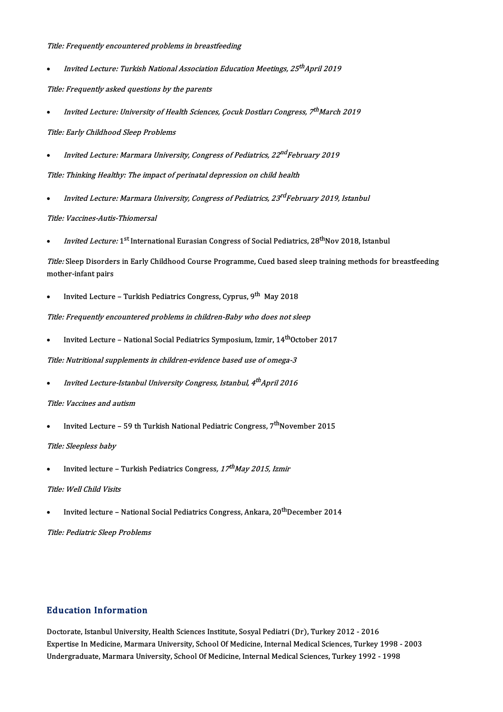#### Title: Frequently encountered problems in breastfeeding

• Invited Lecture: Turkish National Association Education Meetings, 25<sup>th</sup>April 2019

Title: Frequently asked questions by the parents

• Invited Lecture: University of Health Sciences, Çocuk Dostları Congress, 7<sup>th</sup>March 2019

Title: Early Childhood Sleep Problems

- $\bullet$  hnvited Lecture: Marmara University, Congress of Pediatrics, 22 $^{nd}$ February 2019 Title: Thinking Healthy: The impact of perinatal depression on child health
- Invited Lecture: Marmara University, Congress of Pediatrics, 23<sup>rd</sup>February 2019, Istanbul

Title: Vaccines-Autis-Thiomersal<br>• Invited Lecture: 1<sup>st</sup> Internat

h*iomersal*<br><sup>st</sup> International Eurasian Congress of Social Pediatrics, 28<sup>th</sup>Nov 2018, Istanbul

• *Invited Lecture:* 1<sup>st</sup> International Eurasian Congress of Social Pediatrics, 28<sup>th</sup>Nov 2018, Istanbul<br>*Title:* Sleep Disorders in Early Childhood Course Programme, Cued based sleep training methods for breastfeeding<br>me Title: Sleep Disorder<br>mother-infant pairs mother-infant pairs<br>• Invited Lecture – Turkish Pediatrics Congress, Cyprus, 9<sup>th</sup> May 2018

Title: Frequently encountered problems in children-Baby who does not sleep<br>• Invited Lecture – National Social Pediatrics Symposium, Izmir, 14<sup>th</sup>Octobe Invited Lecture - National Social Pediatrics Symposium, Izmir, 14<sup>th</sup>October 2017

Title: Nutritional supplements in children-evidence based use of omega-3

 $\bullet$  Invited Lecture-Istanbul University Congress, Istanbul, 4 $^{th}$ April 2016

#### Title: Vaccines and autism

*Title: Vaccines and autism*<br>• Invited Lecture – 59 th Turkish National Pediatric Congress, 7<sup>th</sup>November 2015

#### Title: Sleepless baby

Title: Sleepless baby<br>• Invited lecture – Turkish Pediatrics Congress, 17<sup>t</sup> <sup>th</sup>May 2015, Izmir

#### Title: Well Child Visits

Title: Well Child Visits<br>• Invited lecture – National Social Pediatrics Congress, Ankara, 20<sup>th</sup>December 2014

Title: Pediatric Sleep Problems

### Education Information

Doctorate, Istanbul University, Health Sciences Institute, Sosyal Pediatri (Dr), Turkey 2012 - 2016 Eu d'eutren Infermation<br>Doctorate, Istanbul University, Health Sciences Institute, Sosyal Pediatri (Dr), Turkey 2012 - 2016<br>Expertise In Medicine, Marmara University, School Of Medicine, Internal Medical Sciences, Turkey 1 Doctorate, Istanbul University, Health Sciences Institute, Sosyal Pediatri (Dr), Turkey 2012 - 2016<br>Expertise In Medicine, Marmara University, School Of Medicine, Internal Medical Sciences, Turkey 1998<br>Undergraduate, Marma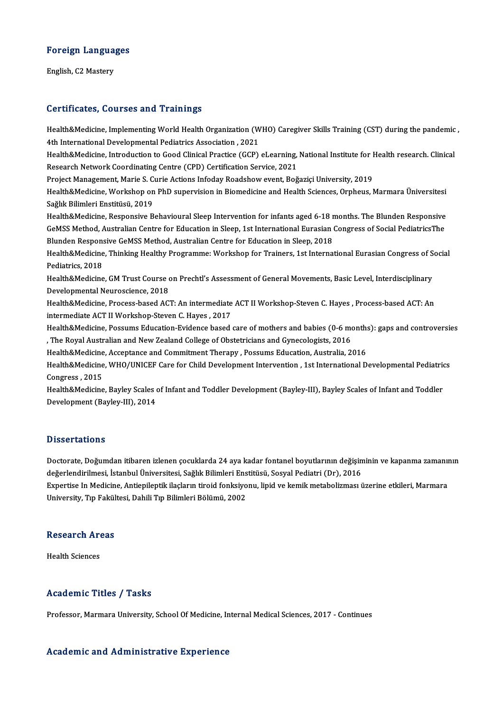# Foreign Languages F<mark>oreign Langua</mark><br>English, C2 Mastery

# English, C2 Mastery<br>Certificates, Courses and Trainings

Certificates, Courses and Trainings<br>Health&Medicine, Implementing World Health Organization (WHO) Caregiver Skills Training (CST) during the pandemic ,<br>4th International Developmental Pedistrics Association, 2021 11th International Developmenting World Health Organization<br>4th International Developmental Pediatrics Association , 2021<br>Health & Medicine, Introduction to Good Clinical Bractice (GGD) Health&Medicine, Implementing World Health Organization (WHO) Caregiver Skills Training (CST) during the pandemic<br>4th International Developmental Pediatrics Association , 2021<br>Health&Medicine, Introduction to Good Clinical

4th International Developmental Pediatrics Association , 2021<br>Health&Medicine, Introduction to Good Clinical Practice (GCP) eLearning,<br>Research Network Coordinating Centre (CPD) Certification Service, 2021 Health&Medicine, Introduction to Good Clinical Practice (GCP) eLearning, National Institute for Health research. Clinical

Project Management, Marie S. Curie Actions Infoday Roadshow event, Boğaziçi University, 2019

Health&Medicine, Workshop on PhD supervision in Biomedicine and Health Sciences, Orpheus, Marmara Üniversitesi<br>Sağlık Bilimleri Enstitüsü, 2019 Health&Medicine, Workshop on PhD supervision in Biomedicine and Health Sciences, Orpheus, Marmara Üniversitesi<br>Sağlık Bilimleri Enstitüsü, 2019<br>Health&Medicine, Responsive Behavioural Sleep Intervention for infants aged 6-

Sağlık Bilimleri Enstitüsü, 2019<br>Health&Medicine, Responsive Behavioural Sleep Intervention for infants aged 6-18 months. The Blunden Responsive<br>GeMSS Method, Australian Centre for Education in Sleep, 1st International Eur Health&Medicine, Responsive Behavioural Sleep Intervention for infants aged 6-18 r<br>GeMSS Method, Australian Centre for Education in Sleep, 1st International Eurasian (<br>Blunden Responsive GeMSS Method, Australian Centre for GeMSS Method, Australian Centre for Education in Sleep, 1st International Eurasian Congress of Social PediatricsThe<br>Blunden Responsive GeMSS Method, Australian Centre for Education in Sleep, 2018<br>Health&Medicine, Thinking

Blunden Responsive GeMSS Method, Australian Centre for Education in Sleep, 2018<br>Health&Medicine, Thinking Healthy Programme: Workshop for Trainers, 1st Interna<br>Pediatrics, 2018 Health&Medicine, Thinking Healthy Programme: Workshop for Trainers, 1st International Eurasian Congress of S<br>Pediatrics, 2018<br>Health&Medicine, GM Trust Course on Prechtl's Assessment of General Movements, Basic Level, Inte

Health&Medicine, GM Trust Course on Prechtl's Assessment of General Movements, Basic Level, Interdisciplinary<br>Developmental Neuroscience, 2018 Health&Medicine, GM Trust Course on Prechtl's Assessment of General Movements, Basic Level, Interdisciplinary<br>Developmental Neuroscience, 2018<br>Health&Medicine, Process-based ACT: An intermediate ACT II Workshop-Steven C. H

Developmental Neuroscience, 2018<br>Health&Medicine, Process-based ACT: An intermediate<br>intermediate ACT II Workshop-Steven C. Hayes , 2017<br>Health&Medisine, Bessums Education Evidence based Health&Medicine, Process-based ACT: An intermediate ACT II Workshop-Steven C. Hayes , Process-based ACT: An intermediate ACT II Workshop-Steven C. Hayes , 2017<br>Intermediate ACT II Workshop-Steven C. Hayes , 2017<br>Health&Med

intermediate ACT II Workshop-Steven C. Hayes , 2017<br>Health&Medicine, Possums Education-Evidence based care of mothers and babies (0-6 mo<br>, The Royal Australian and New Zealand College of Obstetricians and Gynecologists, 20 Health&Medicine, Possums Education-Evidence based care of mothers and babies (0-6 month:<br>The Royal Australian and New Zealand College of Obstetricians and Gynecologists, 2016,<br>Health&Medicine, Acceptance and Commitment The

, The Royal Australian and New Zealand College of Obstetricians and Gynecologists, 2016<br>Health&Medicine, Acceptance and Commitment Therapy , Possums Education, Australia, 2016<br>Health&Medicine, WHO/UNICEF Care for Child Dev Health&Medicine, Acceptance and Commitment Therapy , Possums Education, Australia, 2016<br>Health&Medicine, WHO/UNICEF Care for Child Development Intervention , 1st International Developmental Pediatri<br>Congress , 2015<br>Health& Health&Medicine, WHO/UNICEF Care for Child Development Intervention , 1st International Developmental Pediatric<br>Congress , 2015<br>Health&Medicine, Bayley Scales of Infant and Toddler Development (Bayley-III), Bayley Scales o

Development (Bayley-III), 2014

#### **Dissertations**

Doctorate, Doğumdan itibaren izlenen çocuklarda 24 aya kadar fontanel boyutlarının değişiminin ve kapanma zamanının değerlendirilmesi, İstanbul Üniversitesi, Sağlık Bilimleri Enstitüsü, Sosyal Pediatri (Dr), 2016 Doctorate, Doğumdan itibaren izlenen çocuklarda 24 aya kadar fontanel boyutlarının değişiminin ve kapanma zamanı<br>değerlendirilmesi, İstanbul Üniversitesi, Sağlık Bilimleri Enstitüsü, Sosyal Pediatri (Dr), 2016<br>Expertise In değerlendirilmesi, İstanbul Üniversitesi, Sağlık Bilimleri Ens<br>Expertise In Medicine, Antiepileptik ilaçların tiroid fonksiyo<br>University, Tıp Fakültesi, Dahili Tıp Bilimleri Bölümü, 2002

# oniversity, rip rakui<br>Research Areas R<mark>esearch Ar</mark><br>Health Sciences

# Academic Titles / Tasks

Professor, Marmara University, School Of Medicine, Internal Medical Sciences, 2017 - Continues

### Academic and Administrative Experience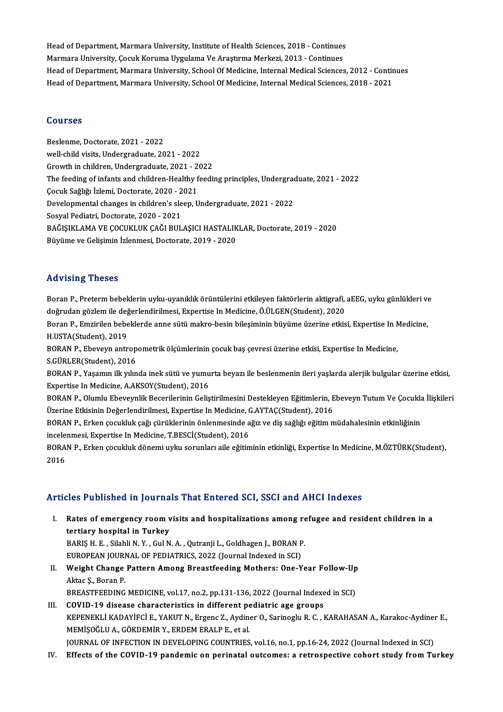Head of Department, Marmara University, Institute of Health Sciences, 2018 - Continues<br>Marmara University, Cosul: Komune Unsulame Ve Arestume Merkeri, 2013 - Continues Head of Department, Marmara University, Institute of Health Sciences, 2018 - Continues<br>Marmara University, Çocuk Koruma Uygulama Ve Araştırma Merkezi, 2013 - Continues<br>Head of Department, Marmara University, Sabaal Of Medi Marmara University, Çocuk Koruma Uygulama Ve Araştırma Merkezi, 2013 - Continues<br>Head of Department, Marmara University, School Of Medicine, Internal Medical Sciences, 2012 - Continues Head of Department, Marmara University, School Of Medicine, Internal Medical Sciences, 2018 - 2021

### Courses

Beslenme, Doctorate, 2021 - 2022 well-child visits, Undergraduate, 2021 - 2022 Growth inchildren,Undergraduate,2021 -2022 well-child visits, Undergraduate, 2021 - 2022<br>Growth in children, Undergraduate, 2021 - 2022<br>The feeding of infants and children-Healthy feeding principles, Undergraduate, 2021 - 2022<br>Cosuk Sağlığı İrlemi, Dectarate, 2020, Growth in children, Undergraduate, 2021 - 2<br>The feeding of infants and children-Healthy f<br>Çocuk Sağlığı İzlemi, Doctorate, 2020 - 2021<br>Dovelopmental shanges in shildren's sleep. U The feeding of infants and children-Healthy feeding principles, Undergrad<br>Cocuk Sağlığı İzlemi, Doctorate, 2020 - 2021<br>Developmental changes in children's sleep, Undergraduate, 2021 - 2022<br>Segyal Pediatri, Doctorate, 2020, Çocuk Sağlığı İzlemi, Doctorate, 2020 - 2021<br>Developmental changes in children's sleep, Undergraduate, 2021 - 2022<br>Sosyal Pediatri, Doctorate, 2020 - 2021 Developmental changes in children's sleep, Undergraduate, 2021 - 2022<br>Sosyal Pediatri, Doctorate, 2020 - 2021<br>BAĞIŞIKLAMA VE ÇOCUKLUK ÇAĞI BULAŞICI HASTALIKLAR, Doctorate, 2019 - 2020<br>Büyüme ve Çelisimin İrlanmesi, Dostana Sosyal Pediatri, Doctorate, 2020 - 2021<br>BAĞIŞIKLAMA VE ÇOCUKLUK ÇAĞI BULAŞICI HASTALIK<br>Büyüme ve Gelişimin İzlenmesi, Doctorate, 2019 - 2020 Büyüme ve Gelişimin İzlenmesi, Doctorate, 2019 - 2020<br>Advising Theses

Advising Theses<br>Boran P., Preterm bebeklerin uyku-uyanıklık örüntülerini etkileyen faktörlerin aktigrafi, aEEG, uyku günlükleri ve<br>doğrudan gözlem ile doğerlendirilmesi, Evnertise In Medisine, Ö ÜLCEN(Student), 2020 rra vising i nesses<br>Boran P., Preterm bebeklerin uyku-uyanıklık örüntülerini etkileyen faktörlerin aktigrafi,<br>doğrudan gözlem ile değerlendirilmesi, Expertise In Medicine, Ö.ÜLGEN(Student), 2020<br>Boran B. Emririlen behekler Boran P., Preterm bebeklerin uyku-uyanıklık örüntülerini etkileyen faktörlerin aktigrafi, aEEG, uyku günlükleri ve<br>doğrudan gözlem ile değerlendirilmesi, Expertise In Medicine, Ö.ÜLGEN(Student), 2020<br>Boran P., Emzirilen be

doğrudan gözlem ile değerlendirilmesi, Expertise In Medicine, Ö.ÜLGEN(Student), 2020<br>Boran P., Emzirilen bebeklerde anne sütü makro-besin bileşiminin büyüme üzerine etki:<br>H.USTA(Student), 2019 Boran P., Emzirilen bebeklerde anne sütü makro-besin bileşiminin büyüme üzerine etkisi, Expertise In Medicine,<br>H.USTA(Student), 2019<br>BORAN P., Ebeveyn antropometrik ölçümlerinin çocuk baş çevresi üzerine etkisi, Expertise

BORAN P., Ebeveyn antropometrik ölçümlerinin çocuk baş çevresi üzerine etkisi, Expertise In Medicine, BORAN P., Ebeveyn antropometrik ölçümlerinin çocuk baş çevresi üzerine etkisi, Expertise In Medicine,<br>S.GÜRLER(Student), 2016<br>BORAN P., Yaşamın ilk yılında inek sütü ve yumurta beyazı ile beslenmenin ileri yaşlarda alerjik

S.GÜRLER(Student), 2016<br>BORAN P., Yaşamın ilk yılında inek sütü ve yumu<br>Expertise In Medicine, A.AKSOY(Student), 2016<br>BORAN P. Olumlu Eboyoynlik Bosonilerinin Golia BORAN P., Yaşamın ilk yılında inek sütü ve yumurta beyazı ile beslenmenin ileri yaşlarda alerjik bulgular üzerine etkisi,<br>Expertise In Medicine, A.AKSOY(Student), 2016<br>BORAN P., Olumlu Ebeveynlik Becerilerinin Geliştirilme

Expertise In Medicine, A.AKSOY(Student), 2016<br>BORAN P., Olumlu Ebeveynlik Becerilerinin Geliştirilmesini Destekleyen Eğitimlerin, E<br>Üzerine Etkisinin DeğerIendirilmesi, Expertise In Medicine, G.AYTAÇ(Student), 2016<br>BORAN B BORAN P., Olumlu Ebeveynlik Becerilerinin Geliştirilmesini Destekleyen Eğitimlerin, Ebeveyn Tutum Ve Çocukla İlişkileri<br>Üzerine Etkisinin Değerlendirilmesi, Expertise In Medicine, G.AYTAÇ(Student), 2016<br>BORAN P., Erken çoc

Üzerine Etkisinin Değerlendirilmesi, Expertise In Medicine, C<br>BORAN P., Erken çocukluk çağı çürüklerinin önlenmesinde a<br>incelenmesi, Expertise In Medicine, T.BESCİ(Student), 2016<br>BORAN P., Erken secukluk dönemi uylu şerunl BORAN P., Erken çocukluk çağı çürüklerinin önlenmesinde ağız ve diş sağlığı eğitim müdahalesinin etkinliğinin<br>incelenmesi, Expertise In Medicine, T.BESCİ(Student), 2016<br>BORAN P., Erken çocukluk dönemi uyku sorunları aile e

incele:<br>BORA<br>2016

# Articles Published in Journals That Entered SCI, SSCI and AHCI Indexes

- I. Rates of emergency room visits and hospitalizations among refugee and resident children in a tertiary hospital in Turkey BARIŞH.E., Silahli N.Y., Gul N.A., Qutranji L., Goldhagen J., BORAN P. tertiary hospital in Turkey<br>BARIŞ H. E. , Silahli N. Y. , Gul N. A. , Qutranji L., Goldhagen J., BORAN P<br>EUROPEAN JOURNAL OF PEDIATRICS, 2022 (Journal Indexed in SCI)<br>Weight Change Bettern Among Breestfooding Methers: One BARIŞ H. E. , Silahli N. Y. , Gul N. A. , Qutranji L., Goldhagen J., BORAN P.<br>EUROPEAN JOURNAL OF PEDIATRICS, 2022 (Journal Indexed in SCI)<br>II. Weight Change Pattern Among Breastfeeding Mothers: One-Year Follow-Up<br>Altre S.
- EUROPEAN JOURI<br>Weight Change<br>Aktac Ş., Boran P.<br>PREASTEEEDING Weight Change Pattern Among Breastfeeding Mothers: One-Year Follow-Up<br>Aktac Ş., Boran P.<br>BREASTFEEDING MEDICINE, vol.17, no.2, pp.131-136, 2022 (Journal Indexed in SCI)<br>COVID 10 disease abanasteristics in different podiatr Aktac Ş., Boran P.<br>BREASTFEEDING MEDICINE, vol.17, no.2, pp.131-136, 2022 (Journal Indexe<br>III. COVID-19 disease characteristics in different pediatric age groups<br>EXPRENEVI LYADAVECLE, VALUE N. FEGOR Z. Ardinor O. Sarinogly

BREASTFEEDING MEDICINE, vol.17, no.2, pp.131-136, 2022 (Journal Indexed in SCI)<br>COVID-19 disease characteristics in different pediatric age groups<br>KEPENEKLİ KADAYİFCİ E., YAKUT N., Ergenc Z., Aydiner O., Sarinoglu R. C. , COVID-19 disease characteristics in different pe<br>KEPENEKLİ KADAYİFCİ E., YAKUT N., Ergenc Z., Aydine<br>MEMİŞOĞLU A., GÖKDEMİR Y., ERDEM ERALP E., et al.<br>JOUPNAL OF INEECTION IN DEVELOPINC COUNTPUES JOURNAL OF INFECTION IN DEVELOPING COUNTRIES, vol.16, no.1, pp.16-24, 2022 (Journal Indexed in SCI)

IV. Effects of the COVID-19 pandemic on perinatal outcomes: a retrospective cohort study fromTurkey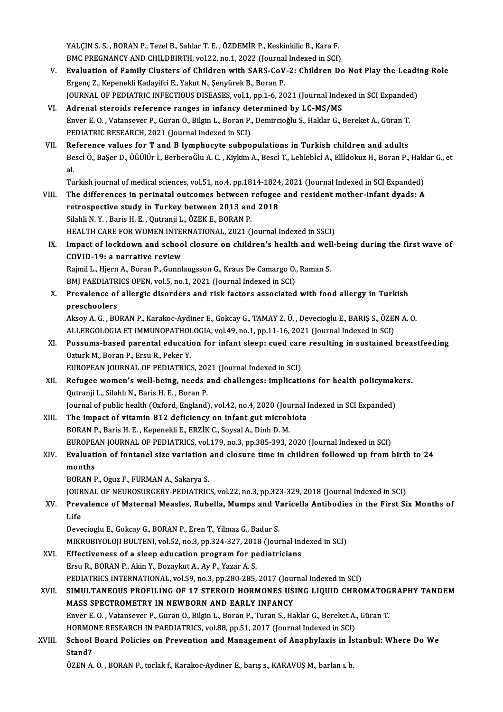YALÇIN S. S., BORAN P., Tezel B., Sahlar T. E., ÖZDEMİR P., Keskinkilic B., Kara F. YALÇIN S. S. , BORAN P., Tezel B., Sahlar T. E. , ÖZDEMİR P., Keskinkilic B., Kara F.<br>BMC PREGNANCY AND CHILDBIRTH, vol.22, no.1, 2022 (Journal Indexed in SCI)<br>Evaluation of Eamily Clusters of Children with SARS CoV 3: Chi

- YALÇIN S. S. , BORAN P., Tezel B., Sahlar T. E. , ÖZDEMİR P., Keskinkilic B., Kara F.<br>BMC PREGNANCY AND CHILDBIRTH, vol.22, no.1, 2022 (Journal Indexed in SCI)<br>V. Evaluation of Family Clusters of Children with SARS-CoV-2: BMC PREGNANCY AND CHILDBIRTH, vol.22, no.1, 2022 (Journal<br>Evaluation of Family Clusters of Children with SARS-CoV<br>Ergenç Z., Kepenekli Kadayifci E., Yakut N., Şenyürek B., Boran P.<br>JOUPNAL OF PEDIATPIC INEECTIOUS DISEASES Evaluation of Family Clusters of Children with SARS-CoV-2: Children Do Not Play the Leadi<br>Ergenç Z., Kepenekli Kadayifci E., Yakut N., Şenyürek B., Boran P.<br>JOURNAL OF PEDIATRIC INFECTIOUS DISEASES, vol.1, pp.1-6, 2021 (Jo Ergenç Z., Kepenekli Kadayifci E., Yakut N., Şenyürek B., Boran P.<br>JOURNAL OF PEDIATRIC INFECTIOUS DISEASES, vol.1, pp.1-6, 2021 (Journal Indexed in SCI Expanded)<br>VI. Adrenal steroids reference ranges in infancy determ
- JOURNAL OF PEDIATRIC INFECTIOUS DISEASES, vol.1, pp.1-6, 2021 (Journal Indexed in SCI Expanded Adrenal steroids reference ranges in infancy determined by LC-MS/MS<br>Enver E.O., Vatansever P., Guran O., Bilgin L., Boran P., D Adrenal steroids reference ranges in infancy de<br>Enver E.O., Vatansever P., Guran O., Bilgin L., Boran P.,<br>PEDIATRIC RESEARCH, 2021 (Journal Indexed in SCI)<br>Peference values for T and B lymphosyte subpe
- PEDIATRIC RESEARCH, 2021 (Journal Indexed in SCI)<br>VII. Reference values for T and B lymphocyte subpopulations in Turkish children and adults PEDIATRIC RESEARCH, 2021 (Journal Indexed in SCI)<br>Reference values for T and B lymphocyte subpopulations in Turkish children and adults<br>Bescİ Ö., BaŞer D., ÖĞÜlÜr İ., BerberoĞlu A. C. , Kiykim A., Bescİ T., Leblebİcİ A., E Re<br>Be<br>al Bescİ Ö., BaŞer D., ÖĞÜlÜr İ., BerberoĞlu A. C. , Kiykim A., Bescİ T., Leblebİcİ A., Ellİdokuz H., Boran P., Hakl<br>al.<br>Turkish journal of medical sciences, vol.51, no.4, pp.1814-1824, 2021 (Journal Indexed in SCI Expanded)<br> al.<br>Turkish journal of medical sciences, vol.51, no.4, pp.1814-1824, 2021 (Journal Indexed in SCI Expanded)<br>VIII. The differences in perinatal outcomes between refugee and resident mother-infant dyads: A

Turkish journal of medical sciences, vol.51, no.4, pp.1814-1824<br>The differences in perinatal outcomes between refugee<br>retrospective study in Turkey between 2013 and 2018<br>Silabli N.Y., Barie H.E., Outranii L., ÖZEKE, POBAN The differences in perinatal outcomes between<br>retrospective study in Turkey between 2013 and<br>Silahli N.Y., Baris H.E., Qutranji L., ÖZEK E., BORAN P.<br>UEALTH CARE FOR WOMEN INTERNATIONAL, 2021 (I

Silahli N. Y. , Baris H. E. , Qutranji L., ÖZEK E., BORAN P.<br>HEALTH CARE FOR WOMEN INTERNATIONAL, 2021 (Journal Indexed in SSCI)

## Silahli N. Y. , Baris H. E. , Qutranji L., ÖZEK E., BORAN P.<br>HEALTH CARE FOR WOMEN INTERNATIONAL, 2021 (Journal Indexed in SSCI)<br>IX. Impact of lockdown and school closure on children's health and well-being during the firs HEALTH CARE FOR WOMEN INTER<br>Impact of lockdown and schoo<br>COVID-19: a narrative review<br>Paimil L. Hiarn A. Boran B. Cunnl Impact of lockdown and school closure on children's health and well<br>COVID-19: a narrative review<br>Rajmil L., Hjern A., Boran P., Gunnlaugsson G., Kraus De Camargo O., Raman S.<br>PMI BAEDIATRICS OPEN vol 5, po 1, 2021 (Journal COVID-19: a narrative review<br>Rajmil L., Hjern A., Boran P., Gunnlaugsson G., Kraus De Camargo O.,<br>BMJ PAEDIATRICS OPEN, vol.5, no.1, 2021 (Journal Indexed in SCI)<br>Prevelence of allergia diserders and risk festers associate

Rajmil L., Hjern A., Boran P., Gunnlaugsson G., Kraus De Camargo O., Raman S.<br>BMJ PAEDIATRICS OPEN, vol.5, no.1, 2021 (Journal Indexed in SCI)<br>X. Prevalence of allergic disorders and risk factors associated with food aller **BMJ PAEDIATR<br>Prevalence of<br>preschoolers** Prevalence of allergic disorders and risk factors associated with food allergy in Turkish<br>preschoolers<br>Aksoy A. G. , BORAN P., Karakoc-Aydiner E., Gokcay G., TAMAY Z. Ü. , Devecioglu E., BARIŞ S., ÖZEN A. O.<br>ALLERCOLOCIA E

preschoolers<br>Aksoy A. G. , BORAN P., Karakoc-Aydiner E., Gokcay G., TAMAY Z. Ü. , Devecioglu E., BARIŞ S., ÖZEI<br>ALLERGOLOGIA ET IMMUNOPATHOLOGIA, vol.49, no.1, pp.11-16, 2021 (Journal Indexed in SCI)<br>Possums based parental Aksoy A. G. , BORAN P., Karakoc-Aydiner E., Gokcay G., TAMAY Z. Ü. , Devecioglu E., BARIŞ S., ÖZEN A. O.<br>ALLERGOLOGIA ET IMMUNOPATHOLOGIA, vol.49, no.1, pp.11-16, 2021 (Journal Indexed in SCI)<br>XI. Possums-based parental ed

ALLERGOLOGIA ET IMMUNOPATHOLOGIA, vol.49, no.1, pp.11-16, 2021 (Journal Indexed in SCI)<br>Possums-based parental education for infant sleep: cued care resulting in sustained<br>Ozturk M., Boran P., Ersu R., Peker Y.<br>EUROPEAN JO Possums-based parental education for infant sleep: cued care<br>Ozturk M., Boran P., Ersu R., Peker Y.<br>EUROPEAN JOURNAL OF PEDIATRICS, 2021 (Journal Indexed in SCI)<br>Befugee women's well being, peeds and shallenges: impliesti

Ozturk M., Boran P., Ersu R., Peker Y.<br>EUROPEAN JOURNAL OF PEDIATRICS, 2021 (Journal Indexed in SCI)<br>XII. Refugee women's well-being, needs and challenges: implications for health policymakers.<br>Outronii L. Silabh N. Borie Qutranji L., Silahlı N., Baris H. E. , Boran P.<br>Journal of public health (Oxford, England), vol.42, no.4, 2020 (Journal Indexed in SCI Expanded) Refugee women's well-being, needs and challenges: implications for health policymak<br>Qutranji L., Silahlı N., Baris H. E. , Boran P.<br>Journal of public health (Oxford, England), vol.42, no.4, 2020 (Journal Indexed in SCI Exp

XIII. The impact of vitamin B12 deficiency on infant gut microbiota BORAN P., Baris H. E., Kepenekli E., ERZİK C., Soysal A., Dinh D. M. The impact of vitamin B12 deficiency on infant gut microbiota<br>BORAN P., Baris H. E. , Kepenekli E., ERZİK C., Soysal A., Dinh D. M.<br>EUROPEAN JOURNAL OF PEDIATRICS, vol.179, no.3, pp.385-393, 2020 (Journal Indexed in SCI)<br>E BORAN P., Baris H. E. , Kepenekli E., ERZİK C., Soysal A., Dinh D. M.<br>EUROPEAN JOURNAL OF PEDIATRICS, vol.179, no.3, pp.385-393, 2020 (Journal Indexed in SCI)<br>XIV. Evaluation of fontanel size variation and closure time

# EUROPE<sub>!</sub><br>Evaluati<br>months<br>POPAN L Evaluation of fontanel size variation<br>months<br>BORAN P., Oguz F., FURMAN A., Sakarya S.<br>JOUPNAL OF NEUPOSUPCEPY PEDIATPIC months<br>BORAN P., Oguz F., FURMAN A., Sakarya S.<br>JOURNAL OF NEUROSURGERY-PEDIATRICS, vol.22, no.3, pp.323-329, 2018 (Journal Indexed in SCI)<br>Prevalence of Maternal Moncles, Pubella, Mumns and Varisella Antibodies in the Fir

BORAN P., Oguz F., FURMAN A., Sakarya S.<br>JOURNAL OF NEUROSURGERY-PEDIATRICS, vol.22, no.3, pp.323-329, 2018 (Journal Indexed in SCI)<br>XV. Prevalence of Maternal Measles, Rubella, Mumps and Varicella Antibodies in the Fir JOUR<br><mark>Prev</mark><br>Life<br>Dava Prevalence of Maternal Measles, Rubella, Mumps and V<br>Life<br>Devecioglu E., Gokcay G., BORAN P., Eren T., Yilmaz G., Badur S.<br>MIKRORIVOLOU PULTENL vol 52, no 3, np 324, 327, 2019 (Jour

Life<br>Devecioglu E., Gokcay G., BORAN P., Eren T., Yilmaz G., Badur S.<br>MIKROBIYOLOJI BULTENI, vol.52, no.3, pp.324-327, 2018 (Journal Indexed in SCI)<br>Effectiveness of a sleep education program for podiatricians

- Devecioglu E., Gokcay G., BORAN P., Eren T., Yilmaz G., Badur S.<br>MIKROBIYOLOJI BULTENI, vol.52, no.3, pp.324-327, 2018 (Journal Ino<br>XVI. Effectiveness of a sleep education program for pediatricians<br>Ersu R., BORAN P., Akin MIKROBIYOLOJI BULTENI, vol.52, no.3, pp.324-327, 201<br>Effectiveness of a sleep education program for po<br>Ersu R., BORAN P., Akin Y., Bozaykut A., Ay P., Yazar A. S.<br>REDIATRICS INTERNATIONAL vol.59, no.2, np.380, 295 Effectiveness of a sleep education program for pediatricians<br>Ersu R., BORAN P., Akin Y., Bozaykut A., Ay P., Yazar A. S.<br>PEDIATRICS INTERNATIONAL, vol.59, no.3, pp.280-285, 2017 (Journal Indexed in SCI)<br>SIMIU TANEOUS PROFI
- XVII. SIMULTANEOUS PROFILING OF 17 STEROID HORMONES USING LIQUID CHROMATOGRAPHY TANDEM<br>MASS SPECTROMETRY IN NEWBORN AND EARLY INFANCY PEDIATRICS INTERNATIONAL, vol.59, no.3, pp.280-285, 2017 (Journal)<br>SIMULTANEOUS PROFILING OF 17 STEROID HORMONES US<br>MASS SPECTROMETRY IN NEWBORN AND EARLY INFANCY Enver E.O. ,Vatansever P.,GuranO.,BilginL.,BoranP.,TuranS.,HaklarG.,BereketA.,GüranT. MASS SPECTROMETRY IN NEWBORN AND EARLY INFANCY<br>Enver E.O., Vatansever P., Guran O., Bilgin L., Boran P., Turan S., Haklar G., Bereket A.<br>HORMONE RESEARCH IN PAEDIATRICS, vol.88, pp.51, 2017 (Journal Indexed in SCI)<br>Sabool

XVIII. School Board Policies on Prevention and Management of Anaphylaxis in İstanbul: Where DoWe<br>Stand? HORMO<br>School<br>Stand?<br>ÖZEN A

ÖZEN A. O. , BORAN P., torlak f., Karakoc-Aydiner E., barış s., KARAVUŞ M., barlanı.b.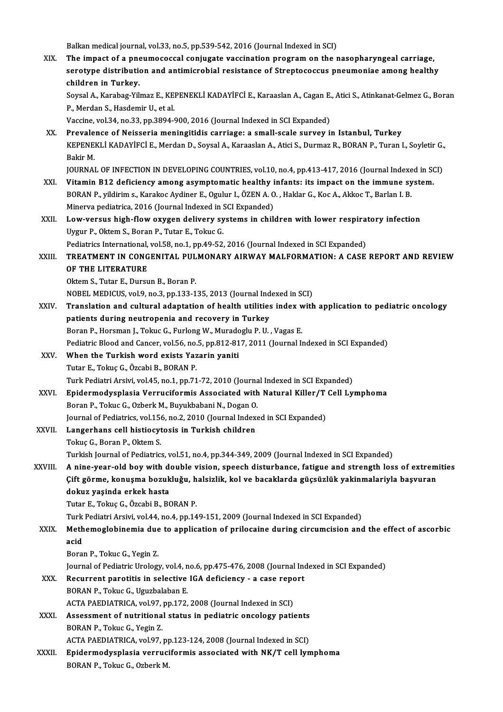Balkan medical journal, vol.33, no.5, pp.539-542, 2016 (Journal Indexed in SCI)

Balkan medical journal, vol.33, no.5, pp.539-542, 2016 (Journal Indexed in SCI)<br>XIX. The impact of a pneumococcal conjugate vaccination program on the nasopharyngeal carriage,<br>expating distribution and antimismabial posist Balkan medical journal, vol.33, no.5, pp.539-542, 2016 (Journal Indexed in SCI)<br>The impact of a pneumococcal conjugate vaccination program on the nasopharyngeal carriage,<br>serotype distribution and antimicrobial resistance The impact of a pne<br>serotype distribution<br>children in Turkey.<br>Seveal A. Karabag vu serotype distribution and antimicrobial resistance of Streptococcus pneumoniae among healthy<br>children in Turkey.<br>Soysal A., Karabag-Yilmaz E., KEPENEKLİ KADAYİFCİ E., Karaaslan A., Cagan E., Atici S., Atinkanat-Gelmez G., children in Turkey.<br>Soysal A., Karabag-Yilmaz E., KE.<br>P., Merdan S., Hasdemir U., et al.<br>Vassine vel 34, ne 33, nn 3994. Soysal A., Karabag-Yilmaz E., KEPENEKLİ KADAYİFCİ E., Karaaslan A., Cagan E.<br>P., Merdan S., Hasdemir U., et al.<br>Vaccine, vol.34, no.33, pp.3894-900, 2016 (Journal Indexed in SCI Expanded)<br>Pravalance of Naisseria moningitid P., Merdan S., Hasdemir U., et al.<br>Vaccine, vol.34, no.33, pp.3894-900, 2016 (Journal Indexed in SCI Expanded)<br>XX. Prevalence of Neisseria meningitidis carriage: a small-scale survey in Istanbul, Turkey Vaccine, vol.34, no.33, pp.3894-900, 2016 (Journal Indexed in SCI Expanded)<br>Prevalence of Neisseria meningitidis carriage: a small-scale survey in Istanbul, Turkey<br>KEPENEKLİ KADAYİFCİ E., Merdan D., Soysal A., Karaaslan A. Prevale<br>KEPENE<br>Bakir M.<br>IOUPNAI KEPENEKLİ KADAYİFCİ E., Merdan D., Soysal A., Karaaslan A., Atici S., Durmaz R., BORAN P., Turan I., Soyletir G.<br>Bakir M.<br>JOURNAL OF INFECTION IN DEVELOPING COUNTRIES, vol.10, no.4, pp.413-417, 2016 (Journal Indexed in SCI Bakir M.<br>JOURNAL OF INFECTION IN DEVELOPING COUNTRIES, vol.10, no.4, pp.413-417, 2016 (Journal Indexed in SCI)<br>XXI. Vitamin B12 deficiency among asymptomatic healthy infants: its impact on the immune system. BORAN P., yildirim s., Karakoc Aydiner E., Ogulur I., ÖZEN A. O., Haklar G., Koc A., Akkoc T., Barlan I. B. Vitamin B12 deficiency among asymptomatic healthy i<br>BORAN P., yildirim s., Karakoc Aydiner E., Ogulur I., ÖZEN A. O<br>Minerva pediatrica, 2016 (Journal Indexed in SCI Expanded)<br>Low yorsus high flow oxygen deliyery systems in BORAN P., yildirim s., Karakoc Aydiner E., Ogulur I., ÖZEN A. O. , Haklar G., Koc A., Akkoc T., Barlan I. B.<br>Minerva pediatrica, 2016 (Journal Indexed in SCI Expanded)<br>XXII. Low-versus high-flow oxygen delivery systems in Minerva pediatrica, 2016 (Journal Indexed in S<br>Low-versus high-flow oxygen delivery sy<br>Uygur P., Oktem S., Boran P., Tutar E., Tokuc G.<br>Rediatrics International vol 52 no 1 nn 40 52 Low-versus high-flow oxygen delivery systems in children with lower respirational, and the Team P., Tutar E., Tokuc G.<br>Pediatrics International, vol.58, no.1, pp.49-52, 2016 (Journal Indexed in SCI Expanded)<br>TREATMENT IN C Uygur P., Oktem S., Boran P., Tutar E., Tokuc G.<br>Pediatrics International, vol.58, no.1, pp.49-52, 2016 (Journal Indexed in SCI Expanded)<br>XXIII. TREATMENT IN CONGENITAL PULMONARY AIRWAY MALFORMATION: A CASE REPORT AND Pediatrics International, vol.58, no.1, pp.49-52, 2016 (Journal Indexed in SCI Expanded) Oktem S., Tutar E., Dursun B., Boran P. NOBEL MEDICUS, vol.9, no.3, pp.133-135, 2013 (Journal Indexed in SCI) Oktem S., Tutar E., Dursun B., Boran P.<br>NOBEL MEDICUS, vol.9, no.3, pp.133-135, 2013 (Journal Indexed in SCI)<br>XXIV. Translation and cultural adaptation of health utilities index with application to pediatric oncology<br>natio patients during neutropenia and recovery in Turkey<br>Boran P., Horsman J., Tokuc G., Furlong W., Muradoglu P. U., Vagas E. Translation and cultural adaptation of health utilities index w<br>patients during neutropenia and recovery in Turkey<br>Boran P., Horsman J., Tokuc G., Furlong W., Muradoglu P. U. , Vagas E.<br>Pediatric Place and Cancer val 56 no patients during neutropenia and recovery in Turkey<br>Boran P., Horsman J., Tokuc G., Furlong W., Muradoglu P. U. , Vagas E.<br>Pediatric Blood and Cancer, vol.56, no.5, pp.812-817, 2011 (Journal Indexed in SCI Expanded)<br>When th XXV. When the Turkish word exists Yazarin yaniti<br>Tutar E., Tokuc G., Özcabi B., BORAN P. Pediatric Blood and Cancer, vol.56, no.<br>When the Turkish word exists Yaz<br>Tutar E., Tokuç G., Özcabi B., BORAN P.<br>Turk Bodiatri Arsivi, vol.45, no.1, nn.71 Turk Pediatri Arsivi, vol.45, no.1, pp.71-72, 2010 (Journal Indexed in SCI Expanded) Tutar E., Tokuç G., Özcabi B., BORAN P.<br>Turk Pediatri Arsivi, vol.45, no.1, pp.71-72, 2010 (Journal Indexed in SCI Expanded)<br>XXVI. Bpidermodysplasia Verruciformis Associated with Natural Killer/T Cell Lymphoma<br>Boran B. Tol Turk Pediatri Arsivi, vol.45, no.1, pp.71-72, 2010 (Journa<br><mark>Epidermodysplasia Verruciformis Associated with</mark><br>Boran P., Tokuc G., Ozberk M., Buyukbabani N., Dogan O.<br>Journal of Pediatrics vol.156, no.2, 2010 (Journal Indov Epidermodysplasia Verruciformis Associated with Natural Killer/T<br>Boran P., Tokuc G., Ozberk M., Buyukbabani N., Dogan O.<br>Journal of Pediatrics, vol.156, no.2, 2010 (Journal Indexed in SCI Expanded)<br>Langarhans cell bistiogy Boran P., Tokuc G., Ozberk M., Buyukbabani N., Dogan O.<br>Journal of Pediatrics, vol.156, no.2, 2010 (Journal Indexed in SCI Expanded)<br>XXVII. Langerhans cell histiocytosis in Turkish children<br>Tokuc G., Boran P., Oktem S. Langerhans cell histiocytosis in Turkish children Turkish Journal of Pediatrics, vol.51, no.4, pp.344-349, 2009 (Journal Indexed in SCI Expanded) Tokuç G., Boran P., Oktem S.<br>Turkish Journal of Pediatrics, vol.51, no.4, pp.344-349, 2009 (Journal Indexed in SCI Expanded)<br>XXVIII. A nine-year-old boy with double vision, speech disturbance, fatigue and strength loss of Turkish Journal of Pediatrics, vol.51, no.4, pp.344-349, 2009 (Journal Indexed in SCI Expanded)<br>A nine-year-old boy with double vision, speech disturbance, fatigue and strength loss of extrem<br>Çift görme, konuşma bozukluğu, A nine-year-old boy with de<br>Çift görme, konuşma bozuk<br>dokuz yaşinda erkek hasta<br>Tutar E. Tokus C. Özgəbi B. BO Çift görme, konuşma bozukluğu, halsizlik, kol ve bacaklarda güçsüzlük yakinmalariyla başvuran<br>dokuz yaşinda erkek hasta<br>Tutar E., Tokuç G., Özcabi B., BORAN P. dokuz yaşinda erkek hasta<br>Tutar E., Tokuç G., Özcabi B., BORAN P.<br>Turk Pediatri Arsivi, vol.44, no.4, pp.149-151, 2009 (Journal Indexed in SCI Expanded)<br>Methemoglabinemia due te application of prilosaine during circumgisio Tutar E., Tokuç G., Özcabi B., BORAN P.<br>Turk Pediatri Arsivi, vol.44, no.4, pp.149-151, 2009 (Journal Indexed in SCI Expanded)<br>XXIX. Methemoglobinemia due to application of prilocaine during circumcision and the effect of Turk<br><mark>Meth</mark><br>acid<br><sup>Boral</sup> Methemoglobinemia due<br>acid<br>Boran P., Tokuc G., Yegin Z.<br>Journal of Bodiatric Urology acid<br>Boran P., Tokuc G., Yegin Z.<br>Journal of Pediatric Urology, vol.4, no.6, pp.475-476, 2008 (Journal Indexed in SCI Expanded) Boran P., Tokuc G., Yegin Z.<br>Journal of Pediatric Urology, vol.4, no.6, pp.475-476, 2008 (Journal Incx<br>XXX. Recurrent parotitis in selective IGA deficiency - a case report<br>POPAN B. Tolue C. Hourbalsban F. Journal of Pediatric Urology, vol.4, n<br>Recurrent parotitis in selective<br>BORAN P., Tokuc G., Uguzbalaban E.<br>ACTA BAEDIATRICA, vol.97, nn.172. Recurrent parotitis in selective IGA deficiency - a case repo<br>BORAN P., Tokuc G., Uguzbalaban E.<br>ACTA PAEDIATRICA, vol.97, pp.172, 2008 (Journal Indexed in SCI)<br>Assessment of nutritional status in podiatric onselecy patio BORAN P., Tokuc G., Uguzbalaban E.<br>ACTA PAEDIATRICA, vol.97, pp.172, 2008 (Journal Indexed in SCI)<br>XXXI. Assessment of nutritional status in pediatric oncology patients<br>POPAN P. Talus G. Yogin 7. ACTA PAEDIATRICA, vol.97, pp.172, 2008 (Journal Indexed in SCI)<br>Assessment of nutritional status in pediatric oncology patients<br>BORAN P., Tokuc G., Yegin Z.<br>ACTA PAEDIATRICA, vol.97, pp.123-124, 2008 (Journal Indexed in SC Assessment of nutritional status in pediatric oncology patients<br>BORAN P., Tokuc G., Yegin Z.<br>ACTA PAEDIATRICA, vol.97, pp.123-124, 2008 (Journal Indexed in SCI)<br>Enidermodyanlasia yourusiformia associated with NK (T. sell l BORAN P., Tokuc G., Yegin Z.<br>ACTA PAEDIATRICA, vol.97, pp.123-124, 2008 (Journal Indexed in SCI)<br>XXXII. Epidermodysplasia verruciformis associated with NK/T cell lymphoma<br>POPAN B. Tokus G. Orbork M. ACTA PAEDIATRICA, vol.97, pp<br><mark>Epidermodysplasia verruci</mark><br>BORAN P., Tokuc G., Ozberk M.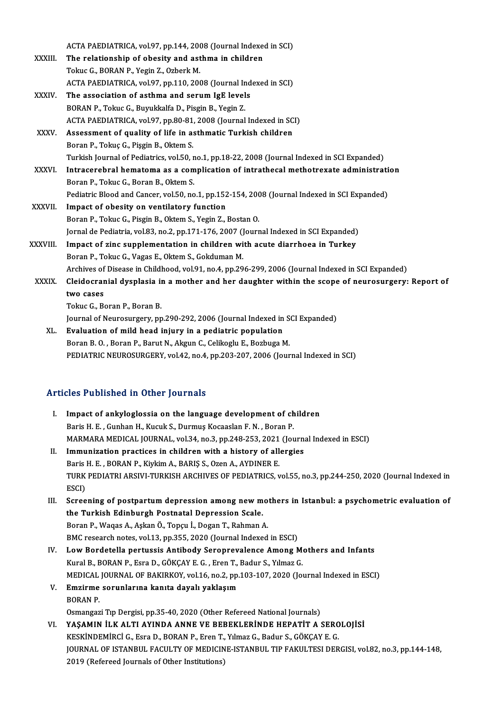ACTA PAEDIATRICA, vol.97, pp.144, 2008 (Journal Indexed in SCI)<br>The relationship of chesity and asthme in shildren

- ACTA PAEDIATRICA, vol.97, pp.144, 2008 (Journal Indexed<br>XXXIII. The relationship of obesity and asthma in children ACTA PAEDIATRICA, vol.97, pp.144, 200<br>The relationship of obesity and ast<br>Tokuc G., BORAN P., Yegin Z., Ozberk M. The relationship of obesity and asthma in children<br>Tokuc G., BORAN P., Yegin Z., Ozberk M.<br>ACTA PAEDIATRICA, vol.97, pp.110, 2008 (Journal Indexed in SCI)<br>The association of esthme and comum IsE lavels. Tokuc G., BORAN P., Yegin Z., Ozberk M.<br>ACTA PAEDIATRICA, vol.97, pp.110, 2008 (Journal Ind<br>XXXIV. The association of asthma and serum IgE levels<br>BORAN P., Tokuc G., Buyukkalfa D., Pisgin B., Yegin Z. ACTA PAEDIATRICA, vol.97, pp.110, 2008 (Journal In<br>The association of asthma and serum IgE level<br>BORAN P., Tokuc G., Buyukkalfa D., Pisgin B., Yegin Z.<br>ACTA PAEDIATRICA vol.97, pp.90, 91, 2009 (Journal The association of asthma and serum IgE levels<br>BORAN P., Tokuc G., Buyukkalfa D., Pisgin B., Yegin Z.<br>ACTA PAEDIATRICA, vol.97, pp.80-81, 2008 (Journal Indexed in SCI)<br>Assossment of quality of life in asthmatic Turkish chi BORAN P., Tokuc G., Buyukkalfa D., Pisgin B., Yegin Z.<br>ACTA PAEDIATRICA, vol.97, pp.80-81, 2008 (Journal Indexed in SC<br>XXXV. Assessment of quality of life in asthmatic Turkish children<br>Peran B. Tokuc C. Bisgin B. Oktom S.
- ACTA PAEDIATRICA, vol.97, pp.80-81<br>Assessment of quality of life in a:<br>Boran P., Tokuç G., Pişgin B., Oktem S.<br>Turkich Journal of Bodiatrics, vol.50, r Assessment of quality of life in asthmatic Turkish children<br>Boran P., Tokuç G., Pişgin B., Oktem S.<br>Turkish Journal of Pediatrics, vol.50, no.1, pp.18-22, 2008 (Journal Indexed in SCI Expanded)<br>Intracerabral hamatama as a Boran P., Tokuç G., Pişgin B., Oktem S.<br>Turkish Journal of Pediatrics, vol.50, no.1, pp.18-22, 2008 (Journal Indexed in SCI Expanded)<br>XXXVI. Intracerebral hematoma as a complication of intrathecal methotrexate administrati Turkish Journal of Pediatrics, vol.50, r<br>Intracerebral hematoma as a com<br>Boran P., Tokuc G., Boran B., Oktem S.<br>Pediatric Plood and Cancer, vol.50, no

Intracerebral hematoma as a complication of intrathecal methotrexate administration<br>Boran P., Tokuc G., Boran B., Oktem S.<br>Pediatric Blood and Cancer, vol.50, no.1, pp.152-154, 2008 (Journal Indexed in SCI Expanded)

- XXXVII. Impact of obesity on ventilatory function BoranP.,TokucG.,PisginB.,OktemS.,YeginZ.,BostanO. Impact of obesity on ventilatory function<br>Boran P., Tokuc G., Pisgin B., Oktem S., Yegin Z., Bostan O.<br>Jornal de Pediatria, vol.83, no.2, pp.171-176, 2007 (Journal Indexed in SCI Expanded)<br>Impact of sins supplementation in
- XXXVIII. Impact of zinc supplementation in children with acute diarrhoea in Turkey<br>Boran P., Tokuc G., Vagas E., Oktem S., Gokduman M. Jornal de Pediatria, vol.83, no.2, pp.171-176, 2007 (J<br>Impact of zinc supplementation in children wi<br>Boran P., Tokuc G., Vagas E., Oktem S., Gokduman M.<br>Archives of Disease in Childhood vol.01 no.4, np.20 Archives of Disease in Childhood, vol.91, no.4, pp.296-299, 2006 (Journal Indexed in SCI Expanded)
	- Boran P., Tokuc G., Vagas E., Oktem S., Gokduman M.<br>Archives of Disease in Childhood, vol.91, no.4, pp.296-299, 2006 (Journal Indexed in SCI Expanded)<br>XXXIX. Cleidocranial dysplasia in a mother and her daughter within Archives of<br>Cleidocrar<br>two cases<br>Telus C. B Cleidocranial dysplasia i<mark>two cases</mark><br>Tokuc G., Boran P., Boran B.<br>Journal of Nourgeurgery, pp two cases<br>Tokuc G., Boran P., Boran B.<br>Journal of Neurosurgery, pp.290-292, 2006 (Journal Indexed in SCI Expanded)<br>Evaluation of mild bood injury in a podiatric population

Tokuc G., Boran P., Boran B.<br>Journal of Neurosurgery, pp.290-292, 2006 (Journal Indexed in S.<br>XL. Evaluation of mild head injury in a pediatric population<br>Boran B. O. , Boran P., Barut N., Akgun C., Celikoglu E., Bozbuga M Journal of Neurosurgery, pp.290-292, 2006 (Journal Indexed in S<br>**Evaluation of mild head injury in a pediatric population**<br>Boran B. O., Boran P., Barut N., Akgun C., Celikoglu E., Bozbuga M.<br>PEDIATRIC NEUROSURCERY, vol.42, PEDIATRIC NEUROSURGERY, vol.42, no.4, pp.203-207, 2006 (Journal Indexed in SCI)

## Articles Published in Other Journals

- rticles Published in Other Journals<br>I. Impact of ankyloglossia on the language development of children<br>Ravis H. E. Curban H. Kuguk S. Durmus Kossasian E. N. Boran B. Baris Hushished in Street Journalis<br>Impact of ankyloglossia on the language development of ch<br>Baris H. E. , Gunhan H., Kucuk S., Durmuş Kocaaslan F. N. , Boran P.<br>MARMARA MEDICAL JOURNAL, vel 34, no 3, nn 248, 252, 2021 (J Baris H. E., Gunhan H., Kucuk S., Durmuş Kocaaslan F. N., Boran P.<br>MARMARA MEDICAL JOURNAL, vol.34, no.3, pp.248-253, 2021 (Journal Indexed in ESCI)
- II. Immunization practices in children with a history of allergies MARMARA MEDICAL JOURNAL, vol.34, no.3, pp.248-253, 2021<br>Immunization practices in children with a history of all<br>Baris H. E., BORAN P., Kiykim A., BARIŞ S., Ozen A., AYDINER E.<br>TURK PEDIATRI ARSIVI TURKISH ARGUIVES OF PEDI Immunization practices in children with a history of allergies<br>Baris H. E. , BORAN P., Kiykim A., BARIŞ S., Ozen A., AYDINER E.<br>TURK PEDIATRI ARSIVI-TURKISH ARCHIVES OF PEDIATRICS, vol.55, no.3, pp.244-250, 2020 (Journal I Baris<br>TURK<br>ESCI)<br>Seree TURK PEDIATRI ARSIVI-TURKISH ARCHIVES OF PEDIATRICS, vol.55, no.3, pp.244-250, 2020 (Journal Indexed in<br>ESCI)<br>III. Screening of postpartum depression among new mothers in Istanbul: a psychometric evaluation of<br>the Turkish
- ESCI)<br>Screening of postpartum depression among new m<br>the Turkish Edinburgh Postnatal Depression Scale.<br>Poran B. Wagas A. Askan Ö. Tongu İ. Dogan T. Bahman / Screening of postpartum depression among new mo<br>the Turkish Edinburgh Postnatal Depression Scale.<br>Boran P., Waqas A., Aşkan Ö., Topçu İ., Dogan T., Rahman A.<br>PMC researsh pates vol 12 nn 255–2020 (Journal Indoved Boran P., Waqas A., Aşkan Ö., Topçu İ., Dogan T., Rahman A.<br>BMC research notes, vol.13, pp.355, 2020 (Journal Indexed in ESCI) Boran P., Waqas A., Aşkan Ö., Topçu İ., Dogan T., Rahman A.<br>BMC research notes, vol.13, pp.355, 2020 (Journal Indexed in ESCI)<br>IV. Low Bordetella pertussis Antibody Seroprevalence Among Mothers and Infants<br>Kural B. BORAN B
- BMC research notes, vol.13, pp.355, 2020 (Journal Indexed in ESCI)<br>Low Bordetella pertussis Antibody Seroprevalence Among M<br>Kural B., BORAN P., Esra D., GÖKÇAY E. G. , Eren T., Badur S., Yılmaz G.<br>MEDICAL JOURNAL OF RAKIRK Kural B., BORAN P., Esra D., GÖKÇAY E. G. , Eren T., Badur S., Yılmaz G.<br>MEDICAL JOURNAL OF BAKIRKOY, vol.16, no.2, pp.103-107, 2020 (Journal Indexed in ESCI) Kural B., BORAN P., Esra D., GÖKÇAY E. G. , Eren T.,<br>MEDICAL JOURNAL OF BAKIRKOY, vol.16, no.2, pp.<br>V. Emzirme sorunlarına kanıta dayalı yaklaşım<br>PORAN B.
- MEDICAL<br>Emzirme<br>BORAN P. BORAN P.<br>Osmangazi Tıp Dergisi, pp.35-40, 2020 (Other Refereed National Journals)

BORAN P.<br>Osmangazi Tıp Dergisi, pp.35-40, 2020 (Other Refereed National Journals)<br>VI. YAŞAMIN İLK ALTI AYINDA ANNE VE BEBEKLERİNDE HEPATİT A SEROLOJİSİ<br>VESKİNDEMİDCİ G. Fara D. BORAN B. Fran T. Yılmaz G. Badıyı S. GÖKÇAV E Osmangazi Tıp Dergisi, pp.35-40, 2020 (Other Refereed National Journals)<br>YAŞAMIN İLK ALTI AYINDA ANNE VE BEBEKLERİNDE HEPATİT A SERO<br>KESKİNDEMİRCİ G., Esra D., BORAN P., Eren T., Yılmaz G., Badur S., GÖKÇAY E. G.<br>JOURNAL O JOURNAL OF ISTANBUL FACULTY OF MEDICINE-ISTANBUL TIP FAKULTESI DERGISI, vol.82, no.3, pp.144-148,<br>2019 (Refereed Journals of Other Institutions) KESKİNDEMİRCİ G., Esra D., BORAN P., Eren T., Yılmaz G., Badur S., GÖKÇAY E. G.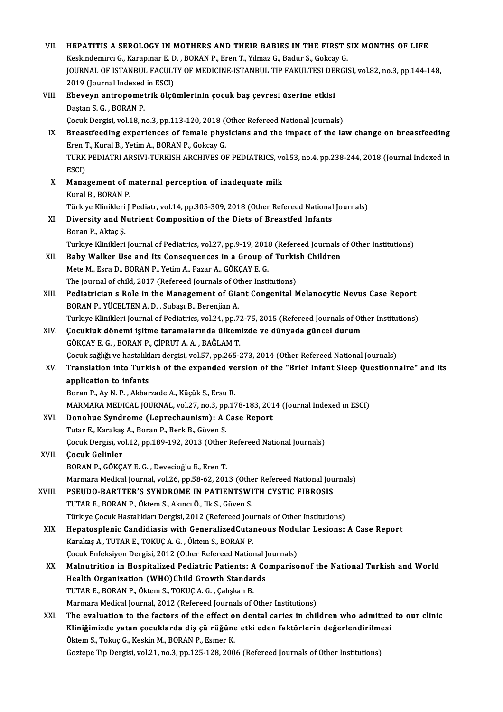| VII.   | HEPATITIS A SEROLOGY IN MOTHERS AND THEIR BABIES IN THE FIRST SIX MONTHS OF LIFE                           |
|--------|------------------------------------------------------------------------------------------------------------|
|        | Keskindemirci G., Karapinar E. D., BORAN P., Eren T., Yilmaz G., Badur S., Gokcay G.                       |
|        | JOURNAL OF ISTANBUL FACULTY OF MEDICINE-ISTANBUL TIP FAKULTESI DERGISI, vol.82, no.3, pp.144-148,          |
|        | 2019 (Journal Indexed in ESCI)                                                                             |
| VIII.  | Ebeveyn antropometrik ölçümlerinin çocuk baş çevresi üzerine etkisi                                        |
|        | Dastan S. G., BORAN P.                                                                                     |
|        | Çocuk Dergisi, vol.18, no.3, pp.113-120, 2018 (Other Refereed National Journals)                           |
| IX.    | Breastfeeding experiences of female physicians and the impact of the law change on breastfeeding           |
|        | Eren T., Kural B., Yetim A., BORAN P., Gokcay G.                                                           |
|        | TURK PEDIATRI ARSIVI-TURKISH ARCHIVES OF PEDIATRICS, vol.53, no.4, pp.238-244, 2018 (Journal Indexed in    |
|        | ESCI)                                                                                                      |
| X.     | Management of maternal perception of inadequate milk                                                       |
|        | Kural B., BORAN P.                                                                                         |
|        | Türkiye Klinikleri J Pediatr, vol.14, pp.305-309, 2018 (Other Refereed National Journals)                  |
| XI.    | Diversity and Nutrient Composition of the Diets of Breastfed Infants                                       |
|        | Boran P., Aktaç Ş.                                                                                         |
|        | Turkiye Klinikleri Journal of Pediatrics, vol.27, pp.9-19, 2018 (Refereed Journals of Other Institutions)  |
| XII.   | Baby Walker Use and Its Consequences in a Group of Turkish Children                                        |
|        | Mete M., Esra D., BORAN P., Yetim A., Pazar A., GÖKÇAY E. G.                                               |
|        | The journal of child, 2017 (Refereed Journals of Other Institutions)                                       |
| XIII.  | Pediatrician s Role in the Management of Giant Congenital Melanocytic Nevus Case Report                    |
|        | BORAN P., YÜCELTEN A. D., Subaşı B., Berenjian A.                                                          |
|        | Turkiye Klinikleri Journal of Pediatrics, vol.24, pp.72-75, 2015 (Refereed Journals of Other Institutions) |
| XIV.   | Çocukluk dönemi işitme taramalarında ülkemizde ve dünyada güncel durum                                     |
|        | GÖKÇAY E. G., BORAN P., ÇİPRUT A. A., BAĞLAM T.                                                            |
|        | Çocuk sağlığı ve hastalıkları dergisi, vol.57, pp.265-273, 2014 (Other Refereed National Journals)         |
| XV.    | Translation into Turkish of the expanded version of the "Brief Infant Sleep Questionnaire" and its         |
|        | application to infants<br>Boran P., Ay N. P., Akbarzade A., Küçük S., Ersu R.                              |
|        | MARMARA MEDICAL JOURNAL, vol.27, no.3, pp.178-183, 2014 (Journal Indexed in ESCI)                          |
| XVI.   | Donohue Syndrome (Leprechaunism): A Case Report                                                            |
|        | Tutar E., Karakaş A., Boran P., Berk B., Güven S.                                                          |
|        | Çocuk Dergisi, vol.12, pp.189-192, 2013 (Other Refereed National Journals)                                 |
| XVII.  | Çocuk Gelinler                                                                                             |
|        | BORAN P., GÖKÇAY E. G., Devecioğlu E., Eren T.                                                             |
|        | Marmara Medical Journal, vol.26, pp.58-62, 2013 (Other Refereed National Journals)                         |
| XVIII. | PSEUDO-BARTTER'S SYNDROME IN PATIENTSWITH CYSTIC FIBROSIS                                                  |
|        | TUTAR E., BORAN P., Öktem S., Akıncı Ö., İlk S., Güven S.                                                  |
|        | Türkiye Çocuk Hastalıkları Dergisi, 2012 (Refereed Journals of Other Institutions)                         |
| XIX.   | Hepatosplenic Candidiasis with GeneralizedCutaneous Nodular Lesions: A Case Report                         |
|        | Karakaş A., TUTAR E., TOKUÇ A. G., Öktem S., BORAN P.                                                      |
|        | <b>Cocuk Enfeksiyon Dergisi, 2012 (Other Refereed National Journals)</b>                                   |
| XX.    | Malnutrition in Hospitalized Pediatric Patients: A Comparisonof the National Turkish and World             |
|        | Health Organization (WHO)Child Growth Standards                                                            |
|        | TUTAR E., BORAN P., Öktem S., TOKUÇ A. G., Çalışkan B.                                                     |
|        | Marmara Medical Journal, 2012 (Refereed Journals of Other Institutions)                                    |
| XXI.   | The evaluation to the factors of the effect on dental caries in children who admitted to our clinic        |
|        | Kliniğimizde yatan çocuklarda diş çü rüğüne etki eden faktörlerin değerlendirilmesi                        |
|        | Öktem S., Tokuç G., Keskin M., BORAN P., Esmer K.                                                          |
|        | Goztepe Tip Dergisi, vol.21, no.3, pp.125-128, 2006 (Refereed Journals of Other Institutions)              |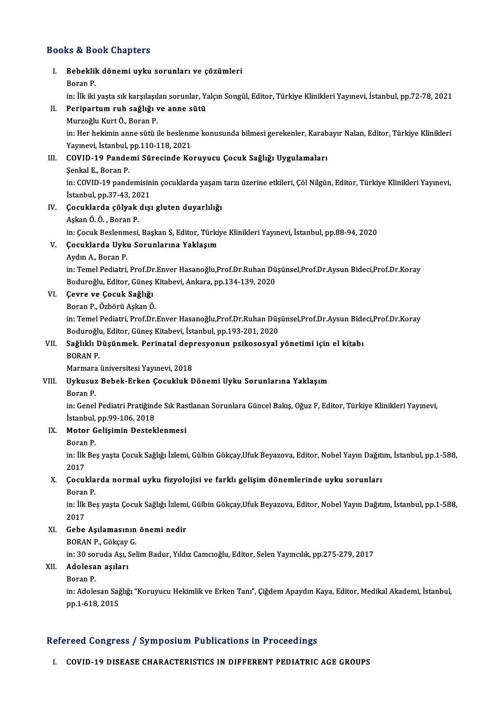### Books&Book Chapters

ooks & Book Chapters<br>I. Bebeklik dönemi uyku sorunları ve çözümleri<br>Boran P Rock Bo<br>Bebeklil<br>Boran P.<br>in: <sup>ilk ilki</sup> Bebeklik dönemi uyku sorunları ve çözümleri<br>Boran P.<br>in: İlk iki yaşta sık karşılaşılan sorunlar, Yalçın Songül, Editor, Türkiye Klinikleri Yayınevi, İstanbul, pp.72-78, 2021<br>Perinartum ruh sağlığı ve enne sütü. Boran P.<br>in: İlk iki yaşta sık karşılaşılan sorunlar, Y.<br>II. Peripartum ruh sağlığı ve anne sütü<br>Murzoğlu Kurt Ö., Boran P. in: İlk iki yaşta sık karşılaşıl<br>Peripartum ruh sağlığı v<br>Murzoğlu Kurt Ö., Boran P.<br>in: Her bekimin enne sütü i Peripartum ruh sağlığı ve anne sütü<br>Murzoğlu Kurt Ö., Boran P.<br>in: Her hekimin anne sütü ile beslenme konusunda bilmesi gerekenler, Karabayır Nalan, Editor, Türkiye Klinikleri Murzoğlu Kurt Ö., Boran P.<br>in: Her hekimin anne sütü ile beslenm<br>Yayınevi, İstanbul, pp.110-118, 2021<br>COVID-19 Bandami Sünasinda Ka in: Her hekimin anne sütü ile beslenme konusunda bilmesi gerekenler, Karab<br>Yayınevi, İstanbul, pp.110-118, 2021<br>III. COVID-19 Pandemi Sürecinde Koruyucu Çocuk Sağlığı Uygulamaları<br>Sankal E. Baran P. Yayınevi, İstanbul,<br>COVID-19 Pande<br>Şenkal E., Boran P.<br>in: COVID 19 nond COVID-19 Pandemi Sürecinde Koruyucu Çocuk Sağlığı Uygulamaları<br>Şenkal E., Boran P.<br>in: COVID-19 pandemisinin çocuklarda yaşam tarzı üzerine etkileri, Çöl Nilgün, Editor, Türkiye Klinikleri Yayınevi,<br>İstanbul np.37.43.2021 Şenkal E., Boran P.<br>in: COVID-19 pandemisin<br>İstanbul, pp.37-43, 2021<br>Cosuklarda çölvək dısı in: COVID-19 pandemisinin çocuklarda yaşam<br>İstanbul, pp.37-43, 2021<br>IV. Çocuklarda çölyak dışı gluten duyarlılığı İstanbul, pp.37-43, 20<br>**Çocuklarda çölyak**<br>Aşkan Ö. Ö. , Boran P.<br>in: Cosuk Boslanmasi Aşkan Ö. Ö. , Boran P.<br>in: Çocuk Beslenmesi, Başkan S, Editor, Türkiye Klinikleri Yayınevi, İstanbul, pp.88-94, 2020 Aşkan Ö. Ö. , Boran P.<br>in: Çocuk Beslenmesi, Başkan S, Editor, Türkiy<br>V. Çocuklarda Uyku Sorunlarına Yaklaşım<br>Aydın A. Boran B. in: Çocuk Beslenm<br>**Çocuklarda Uykı**<br>Aydın A., Boran P.<br>in: Temel Pedietri Aydın A., Boran P.<br>in: Temel Pediatri, Prof.Dr.Enver Hasanoğlu,Prof.Dr.Ruhan Düşünsel,Prof.Dr.Aysun Bideci,Prof.Dr.Koray Aydın A., Boran P.<br>in: Temel Pediatri, Prof.Dr.Enver Hasanoğlu,Prof.Dr.Ruhan Dü<br>Boduroğlu, Editor, Güneş Kitabevi, Ankara, pp.134-139, 2020<br>Cevre ve Cosuk Seğliği VI. Çevre ve Çocuk Sağlığı Boduroğlu, Editor, Güneş I<br>Çevre ve Çocuk Sağlığı<br>Boran P., Özbörü Aşkan Ö.<br>in: Temel Bodistri, Pref Dr. Çevre ve Çocuk Sağlığı<br>Boran P., Özbörü Aşkan Ö.<br>in: Temel Pediatri, Prof.Dr.Enver Hasanoğlu,Prof.Dr.Ruhan Düşünsel,Prof.Dr.Aysun Bideci,Prof.Dr.Koray<br>Boduneğlu, Editer Cünes Kitabevi, İstanbul, pr.193,291,2929 Boran P., Özbörü Aşkan Ö.<br>in: Temel Pediatri, Prof.Dr.Enver Hasanoğlu,Prof.Dr.Ruhan Düş<br>Boduroğlu, Editor, Güneş Kitabevi, İstanbul, pp.193-201, 2020<br>Seğlikli, Düşünmek, Berinatal dennesyenun neikesesyel in: Temel Pediatri, Prof.Dr.Enver Hasanoğlu,Prof.Dr.Ruhan Düşünsel,Prof.Dr.Aysun Bide<br>Boduroğlu, Editor, Güneş Kitabevi, İstanbul, pp.193-201, 2020<br>VII. Sağlıklı Düşünmek. Perinatal depresyonun psikososyal yönetimi için el Boduroğlu, Editor, Güneş Kitabevi, İstanbul, pp.193-201, 2020<br>Sağlıklı Düşünmek. Perinatal depresyonun psikososyal<br>BORAN P.<br>Marmara üniversitesi Yayınevi, 2018 VII. Sağlıklı Düşünmek. Perinatal depresyonun psikososyal yönetimi için el kitabı BORAN P.<br>Marmara üniversitesi Yayınevi, 2018<br>VIII. Uykusuz Bebek-Erken Çocukluk Dönemi Uyku Sorunlarına Yaklaşım<br>Roran B Marmara<br><mark>Uykusuz</mark><br>Boran P.<br>in:Conel Boran P.<br>in: Genel Pediatri Pratiğinde Sık Rastlanan Sorunlara Güncel Bakış, Oğuz F, Editor, Türkiye Klinikleri Yayınevi, Boran P.<br>in: Genel Pediatri Pratiğind<br>İstanbul, pp.99-106, 2018<br>Meter Celisimin Destek IX. Motor Gelişimin Desteklenmesi İstanbul,<br>Motor G<br>Boran P. Motor Gelişimin Desteklenmesi<br>Boran P.<br>in: İlk Beş yaşta Çocuk Sağlığı İzlemi, Gülbin Gökçay,Ufuk Beyazova, Editor, Nobel Yayın Dağıtım, İstanbul, pp.1-588, Boran<br>in: İlk<br>2017<br>Cosul in: İlk Beş yaşta Çocuk Sağlığı İzlemi, Gülbin Gökçay,Ufuk Beyazova, Editor, Nobel Yayın Dağıtı<br>2017<br>X. Gocuklarda normal uyku fizyolojisi ve farklı gelişim dönemlerinde uyku sorunları<br>Peren P 2017<br><mark>Çocukla</mark><br>Boran P.<br>in: <sup>ill, Po</sup> Çocuklarda normal uyku fizyolojisi ve farklı gelişim dönemlerinde uyku sorunları<br>Boran P.<br>in: İlk Beş yaşta Çocuk Sağlığı İzlemi, Gülbin Gökçay,Ufuk Beyazova, Editor, Nobel Yayın Dağıtım, İstanbul, pp.1-588,<br>2017 Boran<br>in: İlk<br>2017<br>Gebe in: İlk Beş yaşta Çocuk Sağlığı İzlemi<br>2017<br>XI. Gebe Aşılamasının önemi nedir 2017<br>Gebe Aşılamasının<br>BORAN P., Gökçay G.<br>in: 30 semida Ası, Sal Gebe Aşılamasının önemi nedir<br>BORAN P., Gökçay G.<br>in: 30 soruda Aşı, Selim Badur, Yıldız Camcıoğlu, Editor, Selen Yayıncılık, pp.275-279, 2017<br>Adalasan asıları BORAN P., Gökçay G.<br>in: 30 soruda Aşı, Sel<br>XII. **Adolesan aşıları**<br>Boran P. in: 30 sol<br><mark>Adolesa</mark><br>Boran P.<br>in: Adole Adolesan aşıları<br>Boran P.<br>in: Adolesan Sağlığı "Koruyucu Hekimlik ve Erken Tanı", Çiğdem Apaydın Kaya, Editor, Medikal Akademi, İstanbul, Boran P.<br>in: Adolesan Sağ<br>pp.1-618, 2015 pp.1-618, 2015<br>Refereed Congress / Symposium Publications in Proceedings

I. COVID-19 DISEASE CHARACTERISTICS IN DIFFERENT PEDIATRIC AGE GROUPS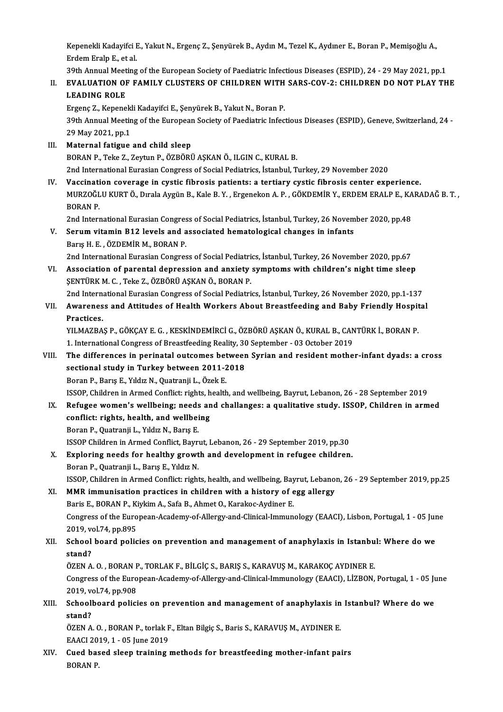Kepenekli Kadayifci E., Yakut N., Ergenç Z., Şenyürek B., Aydın M., Tezel K., Aydıner E., Boran P., Memişoğlu A.,<br>Erdem Ereln E. et al Kepenekli Kadayifci I<br>Erdem Eralp E., et al.<br>20th Annual Meeting Kepenekli Kadayifci E., Yakut N., Ergenç Z., Şenyürek B., Aydın M., Tezel K., Aydıner E., Boran P., Memişoğlu A.,<br>Erdem Eralp E., et al.<br>39th Annual Meeting of the European Society of Paediatric Infectious Diseases (ESPID)

# Erdem Eralp E., et al.<br>39th Annual Meeting of the European Society of Paediatric Infectious Diseases (ESPID), 24 - 29 May 2021, pp.1<br>II. EVALUATION OF FAMILY CLUSTERS OF CHILDREN WITH SARS-COV-2: CHILDREN DO NOT PLAY THE<br>L 39th Annual Meet<br>EVALUATION OF<br>LEADING ROLE<br>Ergang 7 Kanana EVALUATION OF FAMILY CLUSTERS OF CHILDREN WITH<br>LEADING ROLE<br>Ergenç Z., Kepenekli Kadayifci E., Şenyürek B., Yakut N., Boran P.<br>20th Annual Mesting of the European Seciety of Baodiatric Infoc

LEADING ROLE<br>Ergenç Z., Kepenekli Kadayifci E., Şenyürek B., Yakut N., Boran P.<br>39th Annual Meeting of the European Society of Paediatric Infectious Diseases (ESPID), Geneve, Switzerland, 24<br>29 May 2021, nn 1 Ergenç Z., Kepenek<br>39th Annual Meetin<br>29 May 2021, pp.1<br>Matarnal fatisue

- 29 May 2021, pp.1<br>III. Maternal fatigue and child sleep BORAN P., Teke Z., Zeytun P., ÖZBÖRÜ AŞKAN Ö., ILGIN C., KURAL B. 2nd InternationalEurasianCongress of SocialPediatrics, İstanbul,Turkey,29November 2020
- IV. Vaccination coverage in cystic fibrosis patients: a tertiary cystic fibrosis center experience. 2nd International Eurasian Congress of Social Pediatrics, İstanbul, Turkey, 29 November 2020<br>Vaccination coverage in cystic fibrosis patients: a tertiary cystic fibrosis center experience.<br>MURZOĞLU KURT Ö., Dırala Aygün B. Vaccinati<br>MURZOĞL<br>BORAN P. MURZOĞLU KURT Ö., Dırala Aygün B., Kale B. Y. , Ergenekon A. P. , GÖKDEMİR Y., ERDEM ERALP E., KA<br>BORAN P.<br>2nd International Eurasian Congress of Social Pediatrics, İstanbul, Turkey, 26 November 2020, pp.48<br>Senum uttamin B

2nd International Eurasian Congress of Social Pediatrics, İstanbul, Turkey, 26 November 2020, pp.48

- BORAN P.<br>2nd International Eurasian Congress of Social Pediatrics, İstanbul, Turkey, 26 Novem<br>3. Serum vitamin B12 levels and associated hematological changes in infants<br>3. Barış H. E. , ÖZDEMİR M., BORAN P. 2nd International Eurasian Congress of Social Pediatrics, İstanbul, Turkey, 26 November 2020, pp.67
- Barış H. E. , ÖZDEMİR M., BORAN P.<br>2nd International Eurasian Congress of Social Pediatrics, İstanbul, Turkey, 26 November 2020, pp.67<br>2011. Association of parental depression and anxiety symptoms with children's night tim 2nd International Eurasian Congress of Social Pediatri<br>Association of parental depression and anxiety<br>ŞENTÜRK M. C. , Teke Z., ÖZBÖRÜ AŞKAN Ö., BORAN P.<br>2nd International Eurasian Congress of Sosial Bediatri Association of parental depression and anxiety symptoms with children's night time sleep<br>ŞENTÜRK M. C. , Teke Z., ÖZBÖRÜ AŞKAN Ö., BORAN P.<br>2nd International Eurasian Congress of Social Pediatrics, İstanbul, Turkey, 26 Nov

2nd International Eurasian Congress of Social Pediatrics, İstanbul, Turkey, 26 November 2020, pp.1-137

# SENTÜRK M. C. , Teke Z., ÖZBÖRÜ AŞKAN Ö., BORAN P.<br>2nd International Eurasian Congress of Social Pediatrics, İstanbul, Turkey, 26 November 2020, pp.1-137<br>VII. Awareness and Attitudes of Health Workers About Breastfeedi Awareness and Attitudes of Health Workers About Breastfeeding and Baby Friendly Hospit<br>Practices.<br>YILMAZBAŞ P., GÖKÇAY E. G. , KESKİNDEMİRCİ G., ÖZBÖRÜ AŞKAN Ö., KURAL B., CANTÜRK İ., BORAN P.<br>1. International Congress of

Practices.<br>YILMAZBAŞ P., GÖKÇAY E. G. , KESKİNDEMİRCİ G., ÖZBÖRÜ AŞKAN Ö., KURAL B., CAN<br>1. International Congress of Breastfeeding Reality, 30 September - 03 October 2019<br>The differences in porinatal eutsemes between Syri YILMAZBAŞ P., GÖKÇAY E. G. , KESKİNDEMİRCİ G., ÖZBÖRÜ AŞKAN Ö., KURAL B., CANTÜRK İ., BORAN P.<br>1. International Congress of Breastfeeding Reality, 30 September - 03 October 2019<br>VIII. The differences in perinatal outco

# 1. International Congress of Breastfeeding Reality, 30<br>The differences in perinatal outcomes between<br>sectional study in Turkey between 2011-2018<br>Boran B. Boras E. Vildig N. Quatranii L. Özek E. The differences in perinatal outcomes bet<br>sectional study in Turkey between 2011-2<br>Boran P., Barış E., Yıldız N., Quatranji L., Özek E.<br>ISSOB Childron in Armed Conflicturichts boalth sectional study in Turkey between 2011-2018<br>Boran P., Barış E., Yıldız N., Quatranji L., Özek E.<br>ISSOP, Children in Armed Conflict: rights, health, and wellbeing, Bayrut, Lebanon, 26 - 28 September 2019<br>Befugee wemen's wel

## Boran P., Barış E., Yıldız N., Quatranji L., Özek E.<br>ISSOP, Children in Armed Conflict: rights, health, and wellbeing, Bayrut, Lebanon, 26 - 28 September 2019<br>IX. Refugee women's wellbeing; needs and challanges: a qual ISSOP, Children in Armed Conflict: rights, h<br>Refugee women's wellbeing; needs an<br>conflict: rights, health, and wellbeing<br>Boran B. Quatranii L. Vildy N. Borie E Refugee women's wellbeing; needs<br>conflict: rights, health, and wellbei<br>Boran P., Quatranji L., Yıldız N., Barış E.<br>ISSOP Children in Armed Conflict Bourn conflict: rights, health, and wellbeing<br>Boran P., Quatranji L., Yıldız N., Barış E.<br>ISSOP Children in Armed Conflict, Bayrut, Lebanon, 26 - 29 September 2019, pp.30<br>Euplering needs fan bealthy grouth and develepment in nef

## Boran P., Quatranji L., Yıldız N., Barış E.<br>ISSOP Children in Armed Conflict, Bayrut, Lebanon, 26 - 29 September 2019, pp.30<br>X. Exploring needs for healthy growth and development in refugee children. ISSOP Children in Armed Conflict, Bayrı<br>Exploring needs for healthy growt<br>Boran P., Quatranji L., Barış E., Yıldız N.<br>ISSOP Children in Armed Conflict, rishi ISSOP, Children in Armed Conflict: rights, health, and development in refugee children.<br>Boran P., Quatranji L., Barış E., Yıldız N.<br>ISSOP, Children in Armed Conflict: rights, health, and wellbeing, Bayrut, Lebanon, 26 - 29

XI. MMR immunisation practices in children with a history of egg allergy ISSOP, Children in Armed Conflict: rights, health, and wellbeing, Bay<br>MMR immunisation practices in children with a history of e<br>Baris E., BORAN P., Kiykim A., Safa B., Ahmet O., Karakoc-Aydiner E.<br>Congress of the European MMR immunisation practices in children with a history of egg allergy<br>Baris E., BORAN P., Kiykim A., Safa B., Ahmet O., Karakoc-Aydiner E.<br>Congress of the European-Academy-of-Allergy-and-Clinical-Immunology (EAACI), Lisbon, Baris E., BORAN P., Ki<br>Congress of the Euro<br>2019, vol.74, pp.895<br>School board polic

# Congress of the European-Academy-of-Allergy-and-Clinical-Immunology (EAACI), Lisbon, Portugal, 1 - 05 Jur 2019, vol.74, pp.895<br>XII. School board policies on prevention and management of anaphylaxis in Istanbul: Where do we 2019, ve<br>School<br>stand?<br>ÖZEN A School board policies on prevention and management of anaphylaxis in Istanbu<br>stand?<br>ÖZEN A. O. , BORAN P., TORLAK F., BİLGİÇ S., BARIŞ S., KARAVUŞ M., KARAKOÇ AYDINER E.<br>Congress of the European Asademy of Allergy and Clin

ÖZEN A. O., BORAN P., TORLAK F., BİLGİÇ S., BARIŞ S., KARAVUŞ M., KARAKOÇ AYDINER E.

stand?<br>ÖZEN A. O. , BORAN P., TORLAK F., BİLGİÇ S., BARIŞ S., KARAVUŞ M., KARAKOÇ AYDINER E.<br>Congress of the European-Academy-of-Allergy-and-Clinical-Immunology (EAACI), LİZBON, Portugal, 1 - 05 June<br>2019, vol.74, pp.908 Congress of the European-Academy-of-Allergy-and-Clinical-Immunology (EAACI), LİZBON, Portugal, 1 - 05 Ju<br>2019, vol.74, pp.908<br>XIII. Schoolboard policies on prevention and management of anaphylaxis in Istanbul? Where do we<br>

# 2019, ve<br>School<br>stand?<br>ÖZEN A Schoolboard policies on prevention and management of anaphylaxis in<br>stand?<br>ÖZEN A. O. , BORAN P., torlak F., Eltan Bilgiç S., Baris S., KARAVUŞ M., AYDINER E.<br>EAACL 2010 1 - OE June 2010

stand?<br>ÖZEN A. O. , BORAN P., torlak F., Eltan Bilgiç S., Baris S., KARAVUŞ M., AYDINER E.<br>EAACI 2019, 1 - 05 June 2019

ÖZEN A. O. , BORAN P., torlak F., Eltan Bilgiç S., Baris S., KARAVUŞ M., AYDINER E.<br>EAACI 2019, 1 - 05 June 2019<br>XIV. Cued based sleep training methods for breastfeeding mother-infant pairs<br>PORAN P. EAACI 20<br>Cued bas<br>BORAN P.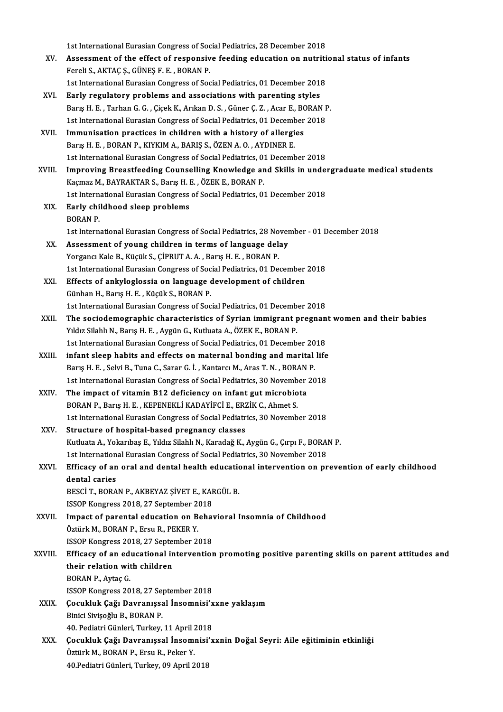1st International Eurasian Congress of Social Pediatrics, 28 December 2018<br>Assessment of the effect of responsive fooding education on putpiti

- 1st International Eurasian Congress of Social Pediatrics, 28 December 2018<br>XV. Assessment of the effect of responsive feeding education on nutritional status of infants 1st International Eurasian Congress of Soc<br>Assessment of the effect of responsiver Fereli S., AKTAÇ Ş., GÜNEŞ F. E. , BORAN P. Assessment of the effect of responsive feeding education on nutriti<br>Fereli S., AKTAÇ Ş., GÜNEŞ F. E. , BORAN P.<br>1st International Eurasian Congress of Social Pediatrics, 01 December 2018<br>Ferly regulatory problems and assoc Fereli S., AKTAÇ Ş., GÜNEŞ F. E. , BORAN P.<br>1st International Eurasian Congress of Social Pediatrics, 01 December 2018<br>XVI. Early regulatory problems and associations with parenting styles
- 1st International Eurasian Congress of Social Pediatrics, 01 December 2018<br>Barly regulatory problems and associations with parenting styles<br>Barış H. E. , Tarhan G. G. , Çiçek K., Arıkan D. S. , Güner Ç. Z. , Acar E., BORAN Early regulatory problems and associations with parenting styles<br>Barış H. E. , Tarhan G. G. , Çiçek K., Arıkan D. S. , Güner Ç. Z. , Acar E., BORAN I<br>1st International Eurasian Congress of Social Pediatrics, 01 December 20 Barış H. E., Tarhan G. G., Çiçek K., Arıkan D. S., Güner Ç. Z., Acar E., B.<br>1st International Eurasian Congress of Social Pediatrics, 01 December<br>XVII. Immunisation practices in children with a history of allergies<br>Paris H
- 1st International Eurasian Congress of Social Pediatrics, 01 Decemmination practices in children with a history of allergies.<br>Barış H. E. , BORAN P., KIYKIM A., BARIŞ S., ÖZEN A. O. , AYDINER E.<br>1st International Eurasian Immunisation practices in children with a history of allergies<br>Barış H. E. , BORAN P., KIYKIM A., BARIŞ S., ÖZEN A. O. , AYDINER E.<br>1st International Eurasian Congress of Social Pediatrics, 01 December 2018<br>Improving Breas Barış H. E., BORAN P., KIYKIM A., BARIŞ S., ÖZEN A. O., AYDINER E.<br>1st International Eurasian Congress of Social Pediatrics, 01 December 2018<br>XVIII. Improving Breastfeeding Counselling Knowledge and Skills in undergraduate
- 1st International Eurasian Congress of Social Pediatrics, 01<br>Improving Breastfeeding Counselling Knowledge ar<br>Kaçmaz M., BAYRAKTAR S., Barış H. E. , ÖZEK E., BORAN P.<br>1st International Eurasian Congress of Social Pediatric Improving Breastfeeding Counselling Knowledge and Skills in under<br>Kaçmaz M., BAYRAKTAR S., Barış H. E. , ÖZEK E., BORAN P.<br>1st International Eurasian Congress of Social Pediatrics, 01 December 2018<br>Farly shildhood sleep pr Kaçmaz M., BAYRAKTAR S., Barış H. I<br>1st International Eurasian Congress<br>XIX. Early childhood sleep problems<br>POPAN P.
- 1st Intern<br>**Early chi**<br>BORAN P.<br>1st Intern. 1st InternationalEurasianCongress of SocialPediatrics,28November -01December 2018
- XX. Assessment of young children in terms of language delay Yorgancı Kale B., Küçük S., ÇİPRUT A. A., Barış H. E., BORAN P. 1st International Eurasian Congress of Social Pediatrics, 01 December 2018 Yorgancı Kale B., Küçük S., ÇİPRUT A. A. , Barış H. E. , BORAN P.<br>1st International Eurasian Congress of Social Pediatrics, 01 December<br>XXI. Effects of ankyloglossia on language development of children<br>Cüpben H. Barıs H. E
- 1st International Eurasian Congress of Socker<br>Effects of ankyloglossia on language<br>Günhan H., Barış H. E., Küçük S., BORAN P.<br>1st International Eurasian Congress of Soc Effects of ankyloglossia on language development of children<br>Günhan H., Barış H. E. , Küçük S., BORAN P.<br>1st International Eurasian Congress of Social Pediatrics, 01 December 2018<br>The sociademographic characteristics of Su
- Günhan H., Barış H. E. , Küçük S., BORAN P.<br>1st International Eurasian Congress of Social Pediatrics, 01 December 2018<br>XXII. The sociodemographic characteristics of Syrian immigrant pregnant women and their babies<br>Vildy Si 1st International Eurasian Congress of Social Pediatrics, 01 Decembrant Intersection of Syrian immigrant International Eurasian Congress of Social Bediatrics 01 Decembrant International Eurasian Congress of Social Bediatri The sociodemographic characteristics of Syrian immigrant pregnan<br>Yıldız Silahlı N., Barış H. E. , Aygün G., Kutluata A., ÖZEK E., BORAN P.<br>1st International Eurasian Congress of Social Pediatrics, 01 December 2018<br>infant c Yıldız Silahlı N., Barış H. E., Aygün G., Kutluata A., ÖZEK E., BORAN P.<br>1st International Eurasian Congress of Social Pediatrics, 01 December 2018<br>XXIII. infant sleep habits and effects on maternal bonding and marital lif
- 1st International Eurasian Congress of Social Pediatrics, 01 December 20<br>infant sleep habits and effects on maternal bonding and marital<br>Barış H. E. , Selvi B., Tuna C., Sarar G. İ. , Kantarcı M., Aras T. N. , BORAN P.<br>1st infant sleep habits and effects on maternal bonding and marital life<br>Barış H. E. , Selvi B., Tuna C., Sarar G. İ. , Kantarcı M., Aras T. N. , BORAN P.<br>1st International Eurasian Congress of Social Pediatrics, 30 November 2 Barış H. E., Selvi B., Tuna C., Sarar G. İ., Kantarcı M., Aras T. N., BORAN<br>1st International Eurasian Congress of Social Pediatrics, 30 November<br>XXIV. The impact of vitamin B12 deficiency on infant gut microbiota<br>PORAN B.
- 1st International Eurasian Congress of Social Pediatrics, 30 Novemb<br>The impact of vitamin B12 deficiency on infant gut microbio<br>BORAN P., Barış H. E., KEPENEKLİ KADAYİFCİ E., ERZİK C., Ahmet S.<br>1st International Eurasian C The impact of vitamin B12 deficiency on infant gut microbiota<br>BORAN P., Barış H. E. , KEPENEKLİ KADAYİFCİ E., ERZİK C., Ahmet S.<br>1st International Eurasian Congress of Social Pediatrics, 30 November 2018<br>Structure of beeni BORAN P., Barış H. E. , KEPENEKLİ KADAYİFCİ E., ERZİK C., Ahmet S.<br>1st International Eurasian Congress of Social Pediatrics, 30 November 2018<br>XXV. Structure of hospital-based pregnancy classes
- 1st International Eurasian Congress of Social Pediatrics, 30 November 2018<br>Structure of hospital-based pregnancy classes<br>Kutluata A., Yokarıbaş E., Yıldız Silahlı N., Karadağ K., Aygün G., Çırpı F., BORAN P.<br>1st Internatio Structure of hospital-based pregnancy classes<br>Kutluata A., Yokarıbaş E., Yıldız Silahlı N., Karadağ K., Aygün G., Çırpı F., BORAl<br>1st International Eurasian Congress of Social Pediatrics, 30 November 2018<br>Efficesy of an an

## Kutluata A., Yokarıbaş E., Yıldız Silahlı N., Karadağ K., Aygün G., Çırpı F., BORAN P.<br>1st International Eurasian Congress of Social Pediatrics, 30 November 2018<br>XXVI. Efficacy of an oral and dental health educational inte 1st Internation<br>Efficacy of an<br>dental caries<br>PESC<sup>I</sup> T. POPA Efficacy of an oral and dental health education<br>dental caries<br>BESCİ T., BORAN P., AKBEYAZ ŞİVET E., KARGÜL B.<br>ISSOP Kongress 2019, 27 Sontamber 2019 dental caries<br>BESCI T., BORAN P., AKBEYAZ ŞİVET E., KAF<br>ISSOP Kongress 2018, 27 September 2018<br>Impact of parantal education en Babaı

- BESCI T., BORAN P., AKBEYAZ ŞİVET E., KARGÜL B.<br>ISSOP Kongress 2018, 27 September 2018<br>XXVII. Impact of parental education on Behavioral Insomnia of Childhood<br>Öztürk M., BORAN P., Ersu R., PEKER Y. ISSOP Kongress 2018, 27 September 20<br>Impact of parental education on B<br>Öztürk M., BORAN P., Ersu R., PEKER Y.<br>ISSOP Kongress 2019, 27 September 2 Impact of parental education on Behav<br>Öztürk M., BORAN P., Ersu R., PEKER Y.<br>ISSOP Kongress 2018, 27 September 2018<br>Efficesy of an educational intervention
- Öztürk M., BORAN P., Ersu R., PEKER Y.<br>ISSOP Kongress 2018, 27 September 2018<br>XXVIII. Efficacy of an educational intervention promoting positive parenting skills on parent attitudes and<br>their relation with children ISSOP Kongress 2018, 27 Septer<br>Efficacy of an educational in<br>their relation with children<br>POPAN P. Aytes C Efficacy of an edit<br>their relation with<br>BORAN P., Aytaç G.<br>ISSOB Kongress 20 their relation with children<br>BORAN P., Aytaç G.<br>ISSOP Kongress 2018, 27 September 2018 BORAN P., Aytaç G.<br>ISSOP Kongress 2018, 27 September 2018<br>XXIX. Çocukluk Çağı Davranışsal İnsomnisi'xxne yaklaşım<br>Pinisi Sivisoğlu B. BORAN R.

- ISSOP Kongress 2018, 27 Se<br>**Çocukluk Çağı Davranışs**a<br>Binici Sivişoğlu B., BORAN P.<br>40 Pediatri Günleri Turkey. Cocukluk Çağı Davranışsal İnsomnisi'x<br>Binici Sivişoğlu B., BORAN P.<br>40. Pediatri Günleri, Turkey, 11 April 2018<br>Cosukluk Cağı Davranıssal İnsomnisi'n 40. Pediatri Günleri, Turkey, 11 April 2018
- Binici Sivişoğlu B., BORAN P.<br>40. Pediatri Günleri, Turkey, 11 April 2018<br>XXX. Çocukluk Çağı Davranışsal İnsomnisi'xxnin Doğal Seyri: Aile eğitiminin etkinliği<br>Öztürk M., BORAN P., Ersu R., Peker Y. 40.Pediatri Günleri, Turkey, 09 April 2018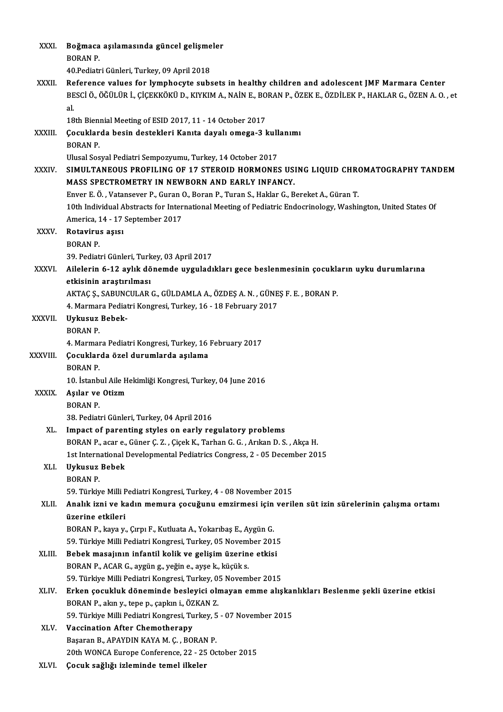| XXXI.          | Boğmaca aşılamasında güncel gelişmeler                                                                                                                                                                            |
|----------------|-------------------------------------------------------------------------------------------------------------------------------------------------------------------------------------------------------------------|
|                | <b>BORAN P.</b>                                                                                                                                                                                                   |
|                | 40. Pediatri Günleri, Turkey, 09 April 2018                                                                                                                                                                       |
| XXXII.         | Reference values for lymphocyte subsets in healthy children and adolescent JMF Marmara Center<br>BESCİ Ö., ÖĞÜLÜR İ., ÇİÇEKKÖKÜ D., KIYKIM A., NAİN E., BORAN P., ÖZEK E., ÖZDİLEK P., HAKLAR G., ÖZEN A. O. , et |
|                | al.<br>18th Biennial Meeting of ESID 2017, 11 - 14 October 2017                                                                                                                                                   |
| XXXIII.        | Çocuklarda besin destekleri Kanıta dayalı omega-3 kullanımı                                                                                                                                                       |
|                | <b>BORAN P.</b>                                                                                                                                                                                                   |
|                | Ulusal Sosyal Pediatri Sempozyumu, Turkey, 14 October 2017                                                                                                                                                        |
| XXXIV.         | SIMULTANEOUS PROFILING OF 17 STEROID HORMONES USING LIQUID CHROMATOGRAPHY TANDEM                                                                                                                                  |
|                | MASS SPECTROMETRY IN NEWBORN AND EARLY INFANCY.                                                                                                                                                                   |
|                | Enver E. Ö., Vatansever P., Guran O., Boran P., Turan S., Haklar G., Bereket A., Güran T.                                                                                                                         |
|                | 10th Individual Abstracts for International Meeting of Pediatric Endocrinology, Washington, United States Of                                                                                                      |
|                | America, 14 - 17 September 2017                                                                                                                                                                                   |
| <b>XXXV</b>    | Rotavirus așisi                                                                                                                                                                                                   |
|                | <b>BORAN P.</b>                                                                                                                                                                                                   |
|                | 39. Pediatri Günleri, Turkey, 03 April 2017                                                                                                                                                                       |
| <b>XXXVI</b> . | Ailelerin 6-12 aylık dönemde uyguladıkları gece beslenmesinin çocukların uyku durumlarına                                                                                                                         |
|                | etkisinin araştırılması                                                                                                                                                                                           |
|                | AKTAÇ Ş., SABUNCULAR G., GÜLDAMLA A., ÖZDEŞ A. N. , GÜNEŞ F. E. , BORAN P.                                                                                                                                        |
| XXXVII.        | 4. Marmara Pediatri Kongresi, Turkey, 16 - 18 February 2017<br>Uykusuz Bebek-                                                                                                                                     |
|                | <b>BORAN P.</b>                                                                                                                                                                                                   |
|                | 4. Marmara Pediatri Kongresi, Turkey, 16 February 2017                                                                                                                                                            |
| XXXVIII.       | Çocuklarda özel durumlarda aşılama                                                                                                                                                                                |
|                | <b>BORAN P.</b>                                                                                                                                                                                                   |
|                | 10. İstanbul Aile Hekimliği Kongresi, Turkey, 04 June 2016                                                                                                                                                        |
| <b>XXXIX</b>   | Aşılar ve Otizm                                                                                                                                                                                                   |
|                | <b>BORAN P.</b>                                                                                                                                                                                                   |
|                | 38. Pediatri Günleri, Turkey, 04 April 2016                                                                                                                                                                       |
| XL.            | Impact of parenting styles on early regulatory problems                                                                                                                                                           |
|                | BORAN P., acar e., Güner Ç. Z., Çiçek K., Tarhan G. G., Arıkan D. S., Akça H.                                                                                                                                     |
|                | 1st International Developmental Pediatrics Congress, 2 - 05 December 2015                                                                                                                                         |
| XLI.           | Uykusuz Bebek                                                                                                                                                                                                     |
|                | <b>BORAN P.</b>                                                                                                                                                                                                   |
| XLII.          | 59. Türkiye Milli Pediatri Kongresi, Turkey, 4 - 08 November 2015<br>Analık izni ve kadın memura çocuğunu emzirmesi için verilen süt izin sürelerinin çalışma ortamı                                              |
|                | üzerine etkileri                                                                                                                                                                                                  |
|                | BORAN P., kaya y., Çırpı F., Kutluata A., Yokarıbaş E., Aygün G.                                                                                                                                                  |
|                | 59. Türkiye Milli Pediatri Kongresi, Turkey, 05 November 2015                                                                                                                                                     |
| XLIII.         | Bebek masajının infantil kolik ve gelişim üzerine etkisi                                                                                                                                                          |
|                | BORAN P., ACAR G., aygün g., yeğin e., ayşe k., küçük s.                                                                                                                                                          |
|                | 59. Türkiye Milli Pediatri Kongresi, Turkey, 05 November 2015                                                                                                                                                     |
| XLIV.          | Erken çocukluk döneminde besleyici olmayan emme alışkanlıkları Beslenme şekli üzerine etkisi                                                                                                                      |
|                | BORAN P., akın y., tepe p., çapkın i., ÖZKAN Z.                                                                                                                                                                   |
|                | 59. Türkiye Milli Pediatri Kongresi, Turkey, 5 - 07 November 2015                                                                                                                                                 |
| XLV.           | <b>Vaccination After Chemotherapy</b>                                                                                                                                                                             |
|                | Başaran B., APAYDIN KAYA M. Ç., BORAN P.                                                                                                                                                                          |
|                | 20th WONCA Europe Conference, 22 - 25 October 2015                                                                                                                                                                |
| XLVI.          | Çocuk sağlığı izleminde temel ilkeler                                                                                                                                                                             |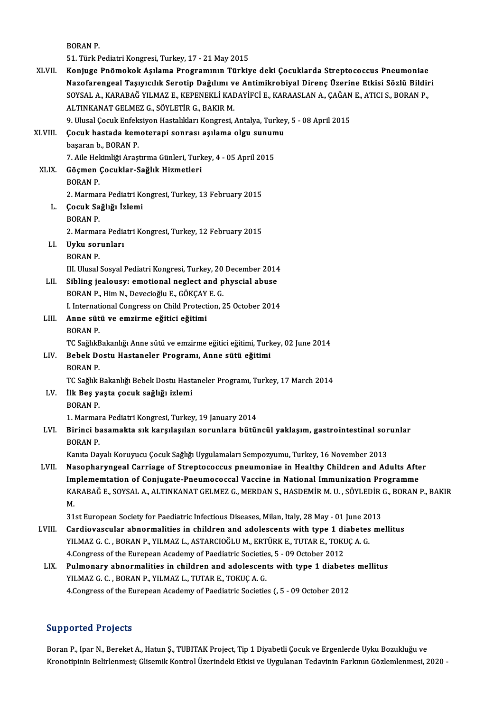BORANP.

51.TürkPediatriKongresi,Turkey,17 -21May2015

XLVII. Konjuge Pnömokok Asılama Programının Türkiye deki Cocuklarda Streptococcus Pneumoniae 51. Türk Pediatri Kongresi, Turkey, 17 - 21 May 2015<br>Konjuge Pnömokok Aşılama Programının Türkiye deki Çocuklarda Streptococcus Pneumoniae<br>Nazofarengeal Taşıyıcılık Serotip Dağılımı ve Antimikrobiyal Direnç Üzerine Etkisi Konjuge Pnömokok Aşılama Programının Türkiye deki Çocuklarda Streptococcus Pneumoniae<br>Nazofarengeal Taşıyıcılık Serotip Dağılımı ve Antimikrobiyal Direnç Üzerine Etkisi Sözlü Bildir<br>SOYSAL A., KARABAĞ YILMAZ E., KEPENEKLİ Nazofarengeal Taşıyıcılık Serotip Dağılımı v<br>SOYSAL A., KARABAĞ YILMAZ E., KEPENEKLİ KAL<br>ALTINKANAT GELMEZ G., SÖYLETİR G., BAKIR M.<br>9. Ulucal Cosuk Enfeksiyon Hastalıkları Konsresi SOYSAL A., KARABAĞ YILMAZ E., KEPENEKLİ KADAYİFCİ E., KARAASLAN A., ÇAĞAN E., ATICI S., BORAN P.,<br>ALTINKANAT GELMEZ G., SÖYLETİR G., BAKIR M.<br>9. Ulusal Çocuk Enfeksiyon Hastalıkları Kongresi, Antalya, Turkey, 5 - 08 April XLVI I. Çocuk hastada kemoterapi sonrası aşılama olgu sunumu

9. Ulusal Çocuk Enfek<br>**Çocuk hastada kem**<br>başaran b., BORAN P.<br>7. Aile Hekimliği Arast Çocuk hastada kemoterapi sonrası aşılama olgu sunun<br>başaran b., BORAN P.<br>7. Aile Hekimliği Araştırma Günleri, Turkey, 4 - 05 April 2015<br>Gösman Gosuklar Sağlık Hismatlari başaran b., BORAN P.<br>7. Aile Hekimliği Araştırma Günleri, Turk<br>XLIX. Göçmen Çocuklar-Sağlık Hizmetleri<br>BORAN P.

7. Aile Hel<br>Göçmen<br>BORAN P. 2. Marmara Pediatri Kongresi, Turkey, 13 February 2015 BORAN P.<br>2. Marmara Pediatri Ko<br>1. **Çocuk Sağlığı İzlemi**<br>PORAN B

- 2. Marmar<br>**Çocuk Sa**<br>BORAN P.<br>2. Marmar
- 

Çocuk Sağlığı İzlemi<br>BORAN P.<br>2. Marmara Pediatri Kongresi, Turkey, 12 February 2015<br>Urku sorunları

# BORAN P.<br>2. Marmara Pedia<br>LI. Uyku sorunları<br>BORAN P. 2. Marmar<br><mark>Uyku sor</mark><br>BORAN P.<br>III Hugal

III. Ulusal Sosyal Pediatri Kongresi, Turkey, 20 December 2014 BORAN P.<br>III. Ulusal Sosyal Pediatri Kongresi, Turkey, 20 December 2014<br>LII. Sibling jealousy: emotional neglect and physcial abuse

III. Ulusal Sosyal Pediatri Kongresi, Turkey, 20<br>Sibling jealousy: emotional neglect and p<br>BORAN P., Him N., Devecioğlu E., GÖKÇAY E. G.<br>Lihternational Congress on Child Protection Sibling jealousy: emotional neglect and physcial abuse<br>BORAN P., Him N., Devecioğlu E., GÖKÇAY E. G.<br>I. International Congress on Child Protection, 25 October 2014 BORAN P., Him N., Devecioğlu E., GÖKÇAY<br>I. International Congress on Child Protect<br>LIII. **Anne sütü ve emzirme eğitici eğitimi**<br>PORAN B I Internat<br>**Anne süt<br>BORAN P.**<br>TC Sağlıl<sup>p</sup>

Anne sütü ve emzirme eğitici eğitimi<br>BORAN P.<br>TC SağlıkBakanlığı Anne sütü ve emzirme eğitici eğitimi, Turkey, 02 June 2014<br>Behek Destu Hestaneler Prosramı, Anne sütü eğitimi

# BORAN P.<br>TC SağlıkBakanlığı Anne sütü ve emzirme eğitici eğitimi, Turk<br>LIV. Bebek Dostu Hastaneler Programı, Anne sütü eğitimi<br>BORAN P. TC Sağlık<mark>E</mark><br>Bebek Do<br>BORAN P.<br>TC Sağlıkl

TC Sağlık Bakanlığı Bebek Dostu Hastaneler Programı, Turkey, 17 March 2014

## BORAN P.<br>TC Sağlık Bakanlığı Bebek Dostu Hast<br>LV. İlk Beş yaşta çocuk sağlığı izlemi<br>PORAN P. TC Sağlık <mark>I</mark><br>İlk Beş ya<br>BORAN P.<br>1 Marmar 1. Marmara Pediatri Kongresi, Turkey, 19 January 2014

BORAN P.<br>1. Marmara Pediatri Kongresi, Turkey, 19 January 2014<br>LVI. Birinci basamakta sık karşılaşılan sorunlara bütüncül yaklaşım, gastrointestinal sorunlar<br>RORAN R 1. Marmar<br>Birinci ba<br>BORAN P.<br>Kanta Day Birinci basamakta sık karşılaşılan sorunlara bütüncül yaklaşım, gastrointestinal sor<br>BORAN P.<br>Kanıta Dayalı Koruyucu Çocuk Sağlığı Uygulamaları Sempozyumu, Turkey, 16 November 2013<br>Nasanbarungasl Carriage of Strantosossus

BORAN P.<br>Kanıta Dayalı Koruyucu Çocuk Sağlığı Uygulamaları Sempozyumu, Turkey, 16 November 2013<br>LVII. Nasopharyngeal Carriage of Streptococcus pneumoniae in Healthy Children and Adults After Kanıta Dayalı Koruyucu Çocuk Sağlığı Uygulamaları Sempozyumu, Turkey, 16 November 2013<br>Nasopharyngeal Carriage of Streptococcus pneumoniae in Healthy Children and Adults Afte<br>Implememtation of Conjugate-Pneumococcal Vaccin Nasopharyngeal Carriage of Streptococcus pneumoniae in Healthy Children and Adults After<br>Implememtation of Conjugate-Pneumococcal Vaccine in National Immunization Programme<br>KARABAĞ E., SOYSAL A., ALTINKANAT GELMEZ G., MERD Implememtation of Conjugate-Pneumococcal Vaccine in National Immunization Programme<br>KARABAĞ E., SOYSAL A., ALTINKANAT GELMEZ G., MERDAN S., HASDEMİR M. U. , SÖYLEDİR G., BORAN<br>M. KARABAĞ E., SOYSAL A., ALTINKANAT GELMEZ G., MERDAN S., HASDEMİR M. U. , SÖYLEDİR G., BORAN P., BAKIR<br>M.<br>31st European Society for Paediatric Infectious Diseases, Milan, Italy, 28 May - 01 June 2013<br>Cardiovascular abnormal

31st European Society for Paediatric Infectious Diseases, Milan, Italy, 28 May - 01 June 2013<br>LVIII. Cardiovascular abnormalities in children and adolescents with type 1 diabetes me

31st European Society for Paediatric Infectious Diseases, Milan, Italy, 28 May - 01 June 20<br>Cardiovascular abnormalities in children and adolescents with type 1 diabetes<br>YILMAZ G. C. , BORAN P., YILMAZ L., ASTARCIOĞLU M., Cardiovascular abnormalities in children and adolescents with type 1 dividends<br>1998 - YLMAZ G. C. , BORAN P., YILMAZ L., ASTARCIOĞLU M., ERTÜRK E., TUTAR E., TOKU<br>4.Congress of the Eurepean Academy of Paediatric Societies, YILMAZ G. C., BORAN P., YILMAZ L., ASTARCIOĞLU M., ERTÜRK E., TUTAR E., TOKUÇ A. G.<br>4.Congress of the Eurepean Academy of Paediatric Societies, 5 - 09 October 2012<br>LIX. Pulmonary abnormalities in children and adolescents w

# 4. Congress of the Eurepean Academy of Paediatric Societies, 5 - 09 October 2012<br>Pulmonary abnormalities in children and adolescents with type 1 diabete<br>YILMAZ G. C. , BORAN P., YILMAZ L., TUTAR E., TOKUÇ A. G.<br>4. Congress Pulmonary abnormalities in children and adolescents with type 1 diabete<br>YILMAZ G. C. , BORAN P., YILMAZ L., TUTAR E., TOKUÇ A. G.<br>4.Congress of the Eurepean Academy of Paediatric Societies (, 5 - 09 October 2012

## Supported Projects

**Supported Projects**<br>Boran P., Ipar N., Bereket A., Hatun Ş., TUBITAK Project, Tip 1 Diyabetli Çocuk ve Ergenlerde Uyku Bozukluğu ve<br>Kronetininin Belirlenmesi: Cliesmik Kontrol Üzerindeki Etkisi ve Uygulanan Tedevinin Esrk Bapportear i rojects<br>Boran P., Ipar N., Bereket A., Hatun Ş., TUBITAK Project, Tip 1 Diyabetli Çocuk ve Ergenlerde Uyku Bozukluğu ve<br>Kronotipinin Belirlenmesi; Glisemik Kontrol Üzerindeki Etkisi ve Uygulanan Tedavinin Fark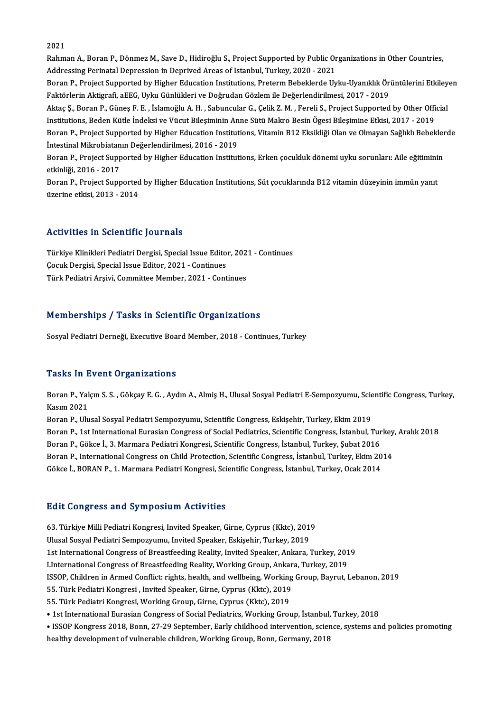#### 2021

2021<br>Rahman A., Boran P., Dönmez M., Save D., Hidiroğlu S., Project Supported by Public Organizations in Other Countries,<br>Addressing Perinatal Dennessian in Dennived Areas of Istanbul Turkey, 2020, 2021 2021<br>Rahman A., Boran P., Dönmez M., Save D., Hidiroğlu S., Project Supported by Public Or<br>Addressing Perinatal Depression in Deprived Areas of Istanbul, Turkey, 2020 - 2021<br>Beran B. Prejest Supported by Higher Education I Rahman A., Boran P., Dönmez M., Save D., Hidiroğlu S., Project Supported by Public Organizations in Other Countries,<br>Addressing Perinatal Depression in Deprived Areas of Istanbul, Turkey, 2020 - 2021<br>Boran P., Project Supp Addressing Perinatal Depression in Deprived Areas of Istanbul, Turkey, 2020 - 2021<br>Boran P., Project Supported by Higher Education Institutions, Preterm Bebeklerde Uyku-Uyanıklık Ör<br>Faktörlerin Aktigrafi, aEEG, Uyku Günlük Boran P., Project Supported by Higher Education Institutions, Preterm Bebeklerde Uyku-Uyanıklık Örüntülerini Etkiley<br>Faktörlerin Aktigrafi, aEEG, Uyku Günlükleri ve Doğrudan Gözlem ile Değerlendirilmesi, 2017 - 2019<br>Aktaç Faktörlerin Aktigrafi, aEEG, Uyku Günlükleri ve Doğrudan Gözlem ile Değerlendirilmesi, 2017 - 2019<br>Aktaç Ş., Boran P., Güneş F. E. , İslamoğlu A. H. , Sabuncular G., Çelik Z. M. , Fereli S., Project Supported by Other Offi Boran P., Project Supported by Higher Education Institutions, Vitamin B12 Eksikliği Olan ve Olmayan Sağlıklı Bebeklerde<br>İntestinal Mikrobiatanın Değerlendirilmesi, 2016 - 2019 Institutions, Beden Kütle İndeksi ve Vücut Bileşiminin Anne Sütü Makro Besin Ögesi Bileşimine Etkisi, 2017 - 2019 Boran P., Project Supported by Higher Education Institutions, Vitamin B12 Eksikliği Olan ve Olmayan Sağlıklı Bebekler<br>İntestinal Mikrobiatanın Değerlendirilmesi, 2016 - 2019<br>Boran P., Project Supported by Higher Education İntestinal Mikrobiatan<br>Boran P., Project Supp<br>etkinliği, 2016 - 2017<br>Boran B., Broject Supp

Boran P., Project Supported by Higher Education Institutions, Erken çocukluk dönemi uyku sorunları: Aile eğitimini<br>etkinliği, 2016 - 2017<br>Boran P., Project Supported by Higher Education Institutions, Süt çocuklarında B12 v etkinliği, 2016 - 2017<br>Boran P., Project Supported by Higher Education Institutions, Süt çocuklarında B12 vitamin düzeyinin immün yanıt<br>üzerine etkisi, 2013 - 2014

### Activities in Scientific Journals

Activities in Scientific Journals<br>Türkiye Klinikleri Pediatri Dergisi, Special Issue Editor, 2021 - Continues<br>Segul: Pergisi, Special Issue Editor, 2021 - Continues recerveres en secenerite journalis<br>Türkiye Klinikleri Pediatri Dergisi, Special Issue Editor<br>Cocuk Dergisi, Special Issue Editor, 2021 - Continues<br>Türk Pediatri Arsivi, Committee Member, 2021 - Cont Türkiye Klinikleri Pediatri Dergisi, Special Issue Editor, 202<br>Çocuk Dergisi, Special Issue Editor, 2021 - Continues<br>Türk Pediatri Arşivi, Committee Member, 2021 - Continues Türk Pediatri Arşivi, Committee Member, 2021 - Continues<br>Memberships / Tasks in Scientific Organizations

Sosyal Pediatri Derneği, Executive Board Member, 2018 - Continues, Turkey

#### **Tasks In Event Organizations**

Tasks In Event Organizations<br>Boran P., Yalçın S. S. , Gökçay E. G. , Aydın A., Almiş H., Ulusal Sosyal Pediatri E-Sempozyumu, Scientific Congress, Turkey,<br>Kosum 2021 Rasina P., Yal<br>Kasım 2021<br>Rasım 2021 Boran P., Yalçın S. S. , Gökçay E. G. , Aydın A., Almiş H., Ulusal Sosyal Pediatri E-Sempozyumu, Scientific Congress, Eskişehir, Turkey, Ekim 2019<br>Boran P., Ulusal Sosyal Pediatri Sempozyumu, Scientific Congress, Eskişehir

Kasım 2021<br>Boran P., Ulusal Sosyal Pediatri Sempozyumu, Scientific Congress, Eskişehir, Turkey, Ekim 2019<br>Boran P., 1st International Eurasian Congress of Social Pediatrics, Scientific Congress, İstanbul, Turkey, Aralık 20 Boran P., Ulusal Sosyal Pediatri Sempozyumu, Scientific Congress, Eskişehir, Turkey, Ekim 2019<br>Boran P., 1st International Eurasian Congress of Social Pediatrics, Scientific Congress, İstanbul, Tur<br>Boran P., Gökce İ., 3. M Boran P., 1st International Eurasian Congress of Social Pediatrics, Scientific Congress, İstanbul, Turkey<br>Boran P., Gökce İ., 3. Marmara Pediatri Kongresi, Scientific Congress, İstanbul, Turkey, Şubat 2016<br>Boran P., Intern Boran P., Gökce İ., 3. Marmara Pediatri Kongresi, Scientific Congress, İstanbul, Turkey, Şubat 2016<br>Boran P., International Congress on Child Protection, Scientific Congress, İstanbul, Turkey, Ekim 20<br>Gökce İ., BORAN P., 1 Gökce İ., BORAN P., 1. Marmara Pediatri Kongresi, Scientific Congress, İstanbul, Turkey, Ocak 2014<br>Edit Congress and Symposium Activities

63. Türkiye Milli Pediatri Kongresi, Invited Speaker, Girne, Cyprus (Kktc), 2019 Ulusal Sosyal Pediatri Sempozyumu, Invited Speaker, Eskişehir, Turkey, 2019 63. Türkiye Milli Pediatri Kongresi, Invited Speaker, Girne, Cyprus (Kktc), 2019<br>Ulusal Sosyal Pediatri Sempozyumu, Invited Speaker, Eskişehir, Turkey, 2019<br>1st International Congress of Breastfeeding Reality, Invited Spea Ulusal Sosyal Pediatri Sempozyumu, Invited Speaker, Eskişehir, Turkey, 2019<br>1st International Congress of Breastfeeding Reality, Invited Speaker, Ankara, Turkey, 201<br>LInternational Congress of Breastfeeding Reality, Workin 1st International Congress of Breastfeeding Reality, Invited Speaker, Ankara, Turkey, 2019<br>I.International Congress of Breastfeeding Reality, Working Group, Ankara, Turkey, 2019<br>ISSOP, Children in Armed Conflict: rights, h I.International Congress of Breastfeeding Reality, Working Group, Ankar<br>ISSOP, Children in Armed Conflict: rights, health, and wellbeing, Working<br>55. Türk Pediatri Kongresi , Invited Speaker, Girne, Cyprus (Kktc), 2019<br>55. ISSOP, Children in Armed Conflict: rights, health, and wellbeing, Working<br>55. Türk Pediatri Kongresi , Invited Speaker, Girne, Cyprus (Kktc), 2019<br>55. Türk Pediatri Kongresi, Working Group, Girne, Cyprus (Kktc), 2019<br>2. 1s • 1st International Faliatri Kongresi , Invited Speaker, Girne, Cyprus (Kktc), 2019<br>1999 - Türk Pediatri Kongresi, Working Group, Girne, Cyprus (Kktc), 2019<br>• 1st International Eurasian Congress of Social Pediatrics, Worki • ISSOP Kongress 2018, Bonn, 27-29 September, Early childhood intervention, science, systems and policies promoting healthy development of vulnerable children, Working Group, Bonn, Germany, 2018